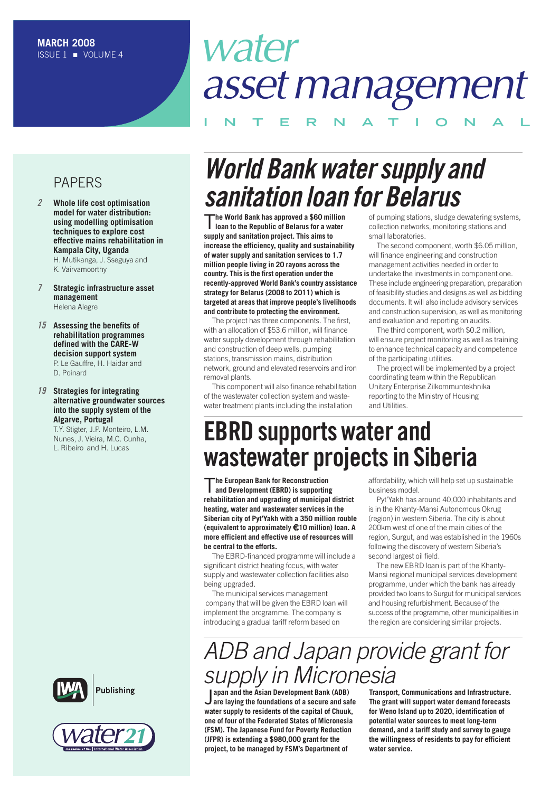# *water assetmanagement*

## **I N T E R N A T I O N A L**

### PAPERS

*2* **Whole life cost optimisation model for water distribution: using modelling optimisation techniques to explore cost effective mains rehabilitation in Kampala City, Uganda** H. Mutikanga, J. Sseguya and

K. Vairvamoorthy

- *7* **Strategic infrastructure asset management** Helena Alegre
- *15* **Assessing the benefits of rehabilitation programmes defined with the CARE-W decision support system** P. Le Gauffre, H. Haidar and D. Poinard
- *19* **Strategies for integrating alternative groundwater sources into the supply system of the Algarve, Portugal**

T.Y. Stigter, J.P. Monteiro, L.M. Nunes, J. Vieira, M.C. Cunha, L. Ribeiro and H. Lucas





# **World Bank water supply and** *Sanitation loan for Belarus*<br>The World Bank has approved a \$60 million<br>of pumping stations, sludge de

T**he World Bank has approved <sup>a</sup> \$60 million loan to the Republic of Belarus for a water supply and sanitation project. This aims to increase the efficiency, quality and sustainability of water supply and sanitation services to 1.7 million people living in 20 rayons across the country. This is the first operation under the recently-approved World Bank's country assistance strategy for Belarus (2008 to 2011) which is targeted at areas that improve people's livelihoods and contribute to protecting the environment.**

The project has three components. The first, with an allocation of \$53.6 million, will finance water supply development through rehabilitation and construction of deep wells, pumping stations, transmission mains, distribution network, ground and elevated reservoirs and iron removal plants.

This component will also finance rehabilitation of the wastewater collection system and wastewater treatment plants including the installation

of pumping stations, sludge dewatering systems, collection networks, monitoring stations and small laboratories.

The second component, worth \$6.05 million, will finance engineering and construction management activities needed in order to undertake the investments in component one. These include engineering preparation, preparation of feasibility studies and designs as well as bidding documents. It will also include advisory services and construction supervision, as well as monitoring and evaluation and reporting on audits.

The third component, worth \$0.2 million, will ensure project monitoring as well as training to enhance technical capacity and competence of the participating utilities.

The project will be implemented by a project coordinating team within the Republican Unitary Enterprise Zilkommuntekhnika reporting to the Ministry of Housing and Utilities.

# **EBRD supports water and wastewater projectsin Siberia**

T**he European Bank for Reconstruction and Development (EBRD) is supporting rehabilitation and upgrading of municipal district heating, water and wastewater services in the Siberian city of Pyt'Yakh with a 350 million rouble (equivalent to approximately** €**10 million) loan. A more efficient and effective use of resources will be central to the efforts.**

The EBRD-financed programme will include a significant district heating focus, with water supply and wastewater collection facilities also being upgraded.

The municipal services management company that will be given the EBRD loan will implement the programme. The company is introducing a gradual tariff reform based on

affordability, which will help set up sustainable business model.

Pyt'Yakh has around 40,000 inhabitants and is in the Khanty-Mansi Autonomous Okrug (region) in western Siberia. The city is about 200km west of one of the main cities of the region, Surgut, and was established in the 1960s following the discovery of western Siberia's second largest oil field.

The new EBRD loan is part of the Khanty-Mansi regional municipal services development programme, under which the bank has already provided two loans to Surgut for municipal services and housing refurbishment. Because of the success of the programme, other municipalities in the region are considering similar projects.

# *ADB and Japan provide grant for supply in Micronesia*

**J** apan and the Asian Development Bank (ADB)<br>J are laying the foundations of a secure and saf<br>water supply to residents of the capital of Chuuk, **apan and the Asian Development Bank (ADB) are laying the foundations of a secure and safe one of four of the Federated States of Micronesia (FSM). The Japanese Fund for Poverty Reduction (JFPR) is extending a \$980,000 grant for the project, to be managed by FSM's Department of**

**Transport, Communications and Infrastructure. The grant will support water demand forecasts for Weno Island up to 2020, identification of potential water sources to meet long-term demand, and a tariff study and survey to gauge the willingness of residents to pay for efficient water service.**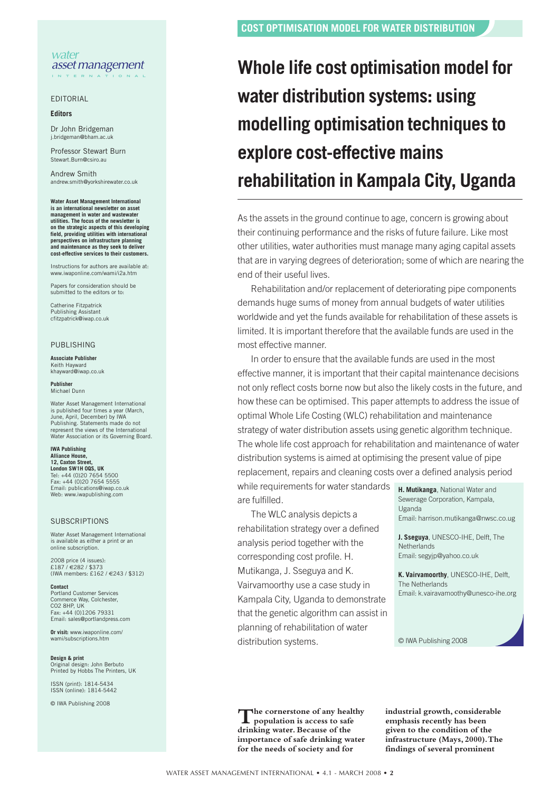#### *water assetmanagement* **I N T E R N A T I O N A L**

EDITORIAL

#### **Editors**

Dr John Bridgeman j.bridgeman@bha

Professor Stewart Burn Stewart.Burn@csiro.au

Andrew Smith andrew.smith@yorkshirewater.co.uk

**Water Asset Management International is an international newsletter on asset management in water and wastewater utilities. The focus of the newsletter is on the strategic aspects of this developing field, providing utilities with international perspectives on infrastructure planning and maintenance as they seek to deliver cost-effective services to their customers.**

Instructions for authors are available at: www.iwaponline.com/wami/i2a.htm

Papers for consideration should be submitted to the editors or to:

Catherine Fitzpatrick Publishing Assistant cfitzpatrick@iwap.co.uk

#### PUBLISHING

#### **Associate Publisher** Keith Hayward khayward@iwap.co.uk

**Publisher** Michael Dunn

Water Asset Management International is published four times a year (March, published four times a year<br>ne, April, December) by IWA Publishing. Statements made do not represent the views of the International Water Association or its Governing Board.

#### **IWA Publishing Alliance House,**

**12, Caxton Street, London SW1H 0QS, UK** Tel: +44 (0)20 7654 5500 Fax: +44 (0)20 7654 5555 Email: publications@iwap.co.uk Web: www.iwapublishing.com

#### **SUBSCRIPTIONS**

Water Asset Management International is available as either a print or an online subscription.

2008 price (4 issues): £187 / €282 / \$373 (IWA members: £162 / €243 / \$312)

**Contact** Portland Customer Services Commerce Way, Colchester, CO2 8HP, UK Fax: +44 (0)1206 79331 Email: sales@portlandpress.com

**Or visit:** www.iwaponline.com/ wami/subscriptions.htm

**Design & print** Original design: John Berbuto Printed by Hobbs The Printers, UK

ISSN (print): 1814-5434 ISSN (online): 1814-5442

© IWA Publishing 2008

# **Whole life cost optimisation model for water distribution systems: using modelling optimisation techniques to explore cost-effective mains rehabilitation in Kampala City, Uganda**

As the assets in the ground continue to age, concern is growing about their continuing performance and the risks of future failure. Like most other utilities, water authorities must manage many aging capital assets that are in varying degrees of deterioration; some of which are nearing the end of their useful lives.

Rehabilitation and/or replacement of deteriorating pipe components demands huge sums of money from annual budgets of water utilities worldwide and yet the funds available for rehabilitation of these assets is limited. It is important therefore that the available funds are used in the most effective manner.

In order to ensure that the available funds are used in the most effective manner, it is important that their capital maintenance decisions not only reflect costs borne now but also the likely costs in the future, and how these can be optimised. This paper attempts to address the issue of optimal Whole Life Costing (WLC) rehabilitation and maintenance strategy of water distribution assets using genetic algorithm technique. The whole life cost approach for rehabilitation and maintenance of water distribution systems is aimed at optimising the present value of pipe replacement, repairs and cleaning costs over a defined analysis period

while requirements for water standards are fulfilled.

The WLC analysis depicts a rehabilitation strategy over a defined analysis period together with the corresponding cost profile. H. Mutikanga, J. Sseguya and K. Vairvamoorthy use a case study in Kampala City, Uganda to demonstrate that the genetic algorithm can assist in planning of rehabilitation of water distribution systems.

**H. Mutikanga**, National Water and Sewerage Corporation, Kampala, Uganda Email: harrison.mutikanga@nwsc.co.ug

**J. Sseguya**, UNESCO-IHE, Delft, The **Netherlands** Email: segyjp@yahoo.co.uk

**K. Vairvamoorthy**, UNESCO-IHE, Delft, The Netherlands Email: k.vairavamoothy@unesco-ihe.org

© IWA Publishing 2008

**The cornerstone of any healthy population is access to safe drinking water.Because of the importance of safe drinking water for the needs of society and for**

**industrial growth, considerable emphasis recently has been given to the condition of the infrastructure (Mays, 2000).The findings of several prominent**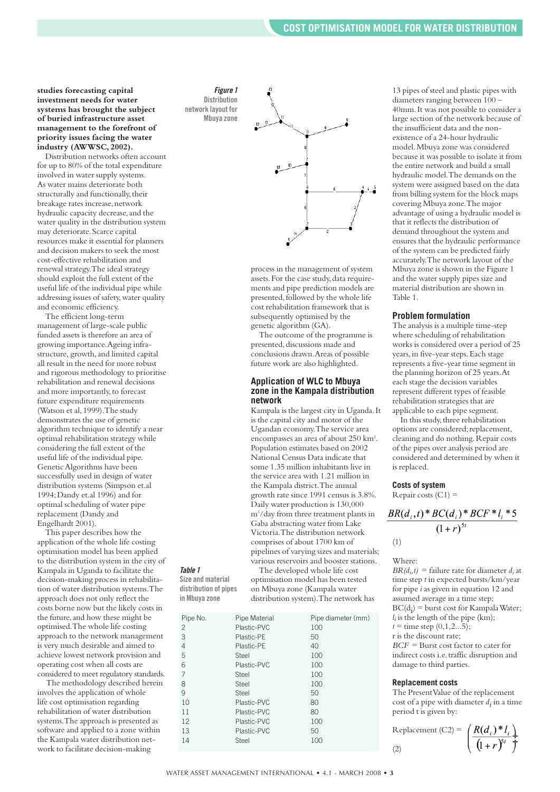**studies forecasting capital investment needs for water systems has brought the subject of buried infrastructure asset management to the forefront of priority issues facing the water industry (AWWSC, 2002).**

Distribution networks often account for up to 80% of the total expenditure involved in water supply systems. As water mains deteriorate both structurally and functionally, their breakage rates increase, network hydraulic capacity decrease, and the water quality in the distribution system may deteriorate.Scarce capital resources make it essential for planners and decision makers to seek the most cost-effective rehabilitation and renewal strategy.The ideal strategy should exploit the full extent of the useful life of the individual pipe while addressing issues of safety,water quality and economic efficiency.

The efficient long-term management of large-scale public funded assets is therefore an area of growing importance.Ageing infrastructure, growth,and limited capital all result in the need for more robust and rigorous methodology to prioritise rehabilitation and renewal decisions and more importantly, to forecast future expenditure requirements (Watson et al,1999).The study demonstrates the use of genetic algorithm technique to identify a near optimal rehabilitation strategy while considering the full extent of the useful life of the individual pipe. GeneticAlgorithms have been successfully used in design of water distribution systems (Simpson et.al 1994;Dandy et.al 1996) and for optimal scheduling of water pipe replacement (Dandy and Engelhardt 2001).

This paper describes how the application of the whole life costing optimisation model has been applied to the distribution system in the city of Kampala in Uganda to facilitate the decision-making process in rehabilitation of water distribution systems.The approach does not only reflect the costs borne now but the likely costs in the future, and how these might be optimised.The whole life costing approach to the network management is very much desirable and aimed to achieve lowest network provision and operating cost when all costs are considered to meet regulatory standards.

*Table 1* **Size and material distribution of pipes in Mbuya zone**

The methodology described herein involves the application of whole life cost optimisation regarding rehabilitation of water distribution systems.The approach is presented as software and applied to a zone within the Kampala water distribution network to facilitate decision-making

*Figure 1* **Distribution network layout for Mbuya zone**



process in the management of system assets. For the case study, data requirements and pipe prediction models are presented, followed by the whole life cost rehabilitation framework that is subsequently optimised by the genetic algorithm (GA).

The outcome of the programme is presented, discussions made and conclusions drawn.Areas of possible future work are also highlighted.

#### **Application of WLC to Mbuya zone in the Kampala distribution network**

Kampala is the largest city in Uganda.It is the capital city and motor of the Ugandan economy.The service area encompasses an area of about 250 km<sup>2</sup>. Population estimates based on 2002 National Census Data indicate that some 1.35 million inhabitants live in the service area with 1.21 million in the Kampala district.The annual growth rate since 1991 census is 3.8%. Daily water production is 130,000 m3 /day from three treatment plants in Gaba abstracting water from Lake Victoria.The distribution network comprises of about 1700 km of pipelines of varying sizes and materials; various reservoirs and booster stations.

The developed whole life cost optimisation model has been tested on Mbuya zone (Kampala water distribution system).The network has

| Pipe No.       | Pipe Material | Pipe diameter (mm) |
|----------------|---------------|--------------------|
| $\overline{c}$ | Plastic-PVC   | 100                |
| 3              | Plastic-PE    | 50                 |
| 4              | Plastic-PE    | 40                 |
| 5              | Steel         | 100                |
| 6              | Plastic-PVC   | 100                |
| 7              | Steel         | 100                |
| 8              | Steel         | 100                |
| 9              | Steel         | 50                 |
| 10             | Plastic-PVC   | 80                 |
| 11             | Plastic-PVC   | 80                 |
| 12             | Plastic-PVC   | 100                |
| 13             | Plastic-PVC   | 50                 |
| 14             | Steel         | 100                |
|                |               |                    |

13 pipes of steel and plastic pipes with diameters ranging between 100 – 40mm.It was not possible to consider a large section of the network because of the insufficient data and the nonexistence of a 24-hour hydraulic model.Mbuya zone was considered because it was possible to isolate it from the entire network and build a small hydraulic model.The demands on the system were assigned based on the data from billing system for the block maps covering Mbuya zone.The major advantage of using a hydraulic model is that it reflects the distribution of demand throughout the system and ensures that the hydraulic performance of the system can be predicted fairly accurately.The network layout of the Mbuya zone is shown in the Figure 1 and the water supply pipes size and material distribution are shown in Table 1.

#### **Problem formulation**

The analysis is a multiple time-step where scheduling of rehabilitation works is considered over a period of 25 years,in five-year steps.Each stage represents a five-year time segment in the planning horizon of 25 years.At each stage the decision variables represent different types of feasible rehabilitation strategies that are applicable to each pipe segment.

In this study, three rehabilitation options are considered; replacement, cleaning and do nothing. Repair costs of the pipes over analysis period are considered and determined by when it is replaced.

#### **Costs of system**

Repair costs  $(C1)$  =

$$
\frac{BR(d_i, t) * BC(d_i) * BCF * l_i * 5}{(1+r)^{5t}}
$$

(1)

### Where:

 $BR(d_i, t)$  = failure rate for diameter  $d_i$  at time step *t* in expected bursts/km/year for pipe *i* as given in equation 12 and assumed average in a time step;  $BC(d_i) = burst cost for Kampala Water;$  $l_i$  is the length of the pipe (km);  $t =$  time step  $(0, 1, 2...5)$ ; r is the discount rate; *BCF* = Burst cost factor to cater for indirect costs i.e.traffic disruption and damage to third parties.

#### **Replacement costs**

The PresentValue of the replacement cost of a pipe with diameter *di* in a time period t is given by:

$$
\text{Replacement (C2)} = \left(\frac{R(d_i)^* l_i}{(1+r)^{5t}}\right)
$$
\n
$$
\tag{2}
$$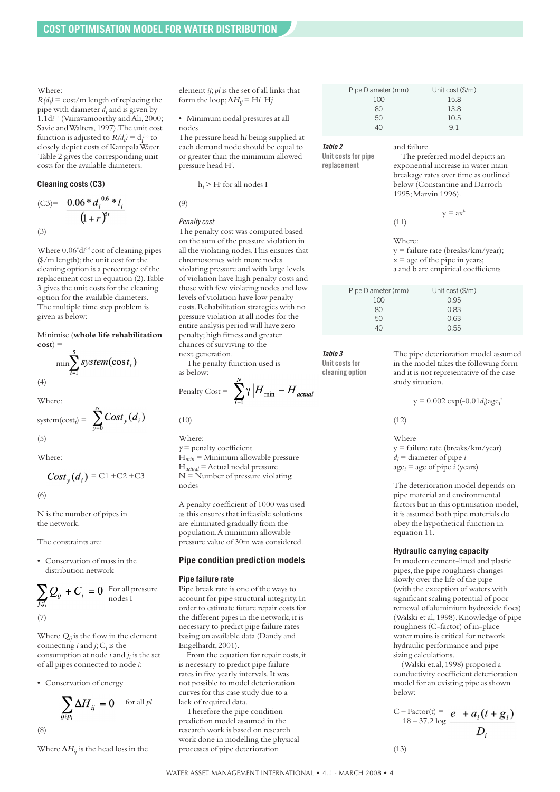Where:

 $R(d_i)$  = cost/m length of replacing the pipe with diameter *di* and is given by 1.1di<sup>1.5</sup> (Vairavamoorthy and Ali, 2000; Savic andWalters,1997).The unit cost function is adjusted to  $R(d_i) = d_i^{0.6}$  to closely depict costs of KampalaWater. Table 2 gives the corresponding unit costs for the available diameters.

#### **Cleaning costs (C3)**

(C3)= 
$$
\frac{0.06 * d_i^{0.6} * l_i}{(1+r)^{5t}}
$$
  
(3)

Where  $0.06$ <sup>\*</sup>di<sup>0.6</sup> cost of cleaning pipes (\$/m length); the unit cost for the cleaning option is a percentage of the replacement cost in equation (2).Table 3 gives the unit costs for the cleaning option for the available diameters. The multiple time step problem is given as below:

Minimise (**whole life rehabilitation**  $\cos t$ <sup>=</sup>

$$
\min \sum_{t=1}^{S} system(\cos t_t)
$$
\n(4)

Where:

system(
$$
\text{cost}_i
$$
) =  $\sum_{y=0}^{N} Cost_y(d_i)$  (5)

Where:

$$
Cost_{y}(d_i) = \text{C1} + \text{C2} + \text{C3}
$$

(6)

N is the number of pipes in the network.

The constraints are:

• Conservation of mass in the distribution network

$$
\sum_{j \in J_i} Q_{ij} + C_i = 0
$$
 For all pressure nodes I (7)

Where  $Q_{ii}$  is the flow in the element connecting  $i$  and  $j$ ;  $C_i$  is the consumption at node *i* and *ji* is the set of all pipes connected to node *i*:

• Conservation of energy

$$
\sum_{ij\in p_l}\Delta H_{ij}\,=0\quad \text{ for all }p l
$$

(8)

Where  $\Delta H_{ii}$  is the head loss in the

element *ij*; *pl* is the set of all links that form the loop;  $\Delta H_{ii}$  = H*i* H<sub>j</sub>

• Minimum nodal pressures at all nodes

The pressure head h*i* being supplied at each demand node should be equal to or greater than the minimum allowed pressure head H*<sup>l</sup>* .

h*<sup>i</sup>* > H*<sup>l</sup>* for all nodes I

*Penaltycost*

(9)

The penalty cost was computed based on the sum of the pressure violation in all the violating nodes.This ensures that chromosomes with more nodes violating pressure and with large levels of violation have high penalty costs and those with few violating nodes and low levels of violation have low penalty costs.Rehabilitation strategies with no pressure violation at all nodes for the entire analysis period will have zero penalty;high fitness and greater chances of surviving to the next generation.

The penalty function used is as below:  $\mathbf{v}$ 

$$
n \text{alty Cost} = \sum_{i=1}^{n} \gamma \left| H_{\min} - H_{actual} \right|
$$

(10)

 $p_e$ 

Where:  $\gamma$  = penalty coefficient H*min* = Minimum allowable pressure H*actual* =Actual nodal pressure  $N =$  Number of pressure violating nodes

A penalty coefficient of 1000 was used as this ensures that infeasible solutions are eliminated gradually from the population.A minimum allowable pressure value of 30m was considered.

#### **Pipe condition prediction models**

#### **Pipe failure rate**

Pipe break rate is one of the ways to account for pipe structural integrity.In order to estimate future repair costs for the different pipes in the network, it is necessary to predict pipe failure rates basing on available data (Dandy and Engelhardt,2001).

From the equation for repair costs,it is necessary to predict pipe failure rates in five yearly intervals.It was not possible to model deterioration curves for this case study due to a lack of required data.

Therefore the pipe condition prediction model assumed in the research work is based on research work done in modelling the physical processes of pipe deterioration

| Pipe Diameter (mm) | Unit cost (\$/m) |
|--------------------|------------------|
| 100                | 15.8             |
| 80                 | 13.8             |
| 50                 | 10.5             |
| 10                 | Q 1              |

and failure.

*Table 2* **Unit** costs for pipe

**replacement**

The preferred model depicts an exponential increase in water main breakage rates over time as outlined below (Constantine and Darroch 1995;Marvin 1996).

$$
y = ax^t
$$
 (11)

Where: y = failure rate (breaks/km/year);  $x = age of the pipe in years;$ a and b are empirical coefficients

| Pipe Diameter (mm) | Unit cost (\$/m) |  |
|--------------------|------------------|--|
| 100                | 0.95             |  |
| 80                 | 0.83             |  |
| 50                 | 0.63             |  |
|                    | 0.55             |  |

*Table 3*

**Unit** costs for **cleaning option**

The pipe deterioration model assumed in the model takes the following form and it is not representative of the case study situation.

 $y = 0.002 \exp(-0.01 d_i) \text{age}_i^2$ 

(12)

#### Where y = failure rate (breaks/km/year)  $d_i$  = diameter of pipe *i*

 $age<sub>i</sub> = age of pipe *i* (years)$ 

The deterioration model depends on pipe material and environmental factors but in this optimisation model, it is assumed both pipe materials do obey the hypothetical function in equation 11.

#### **Hydraulic carrying capacity**

In modern cement-lined and plastic pipes,the pipe roughness changes slowly over the life of the pipe (with the exception of waters with significant scaling potential of poor removal of aluminium hydroxide flocs) (Walski et al, 1998). Knowledge of pipe roughness (C-factor) of in-place water mains is critical for network hydraulic performance and pipe sizing calculations.

(Walski et.al,1998) proposed a conductivity coefficient deterioration model for an existing pipe as shown below:

$$
C - \text{Factor}(t) = e + a_i(t + g_i)
$$
  
18-37.2 log  $\frac{P}{D_i}$ 

$$
(13)
$$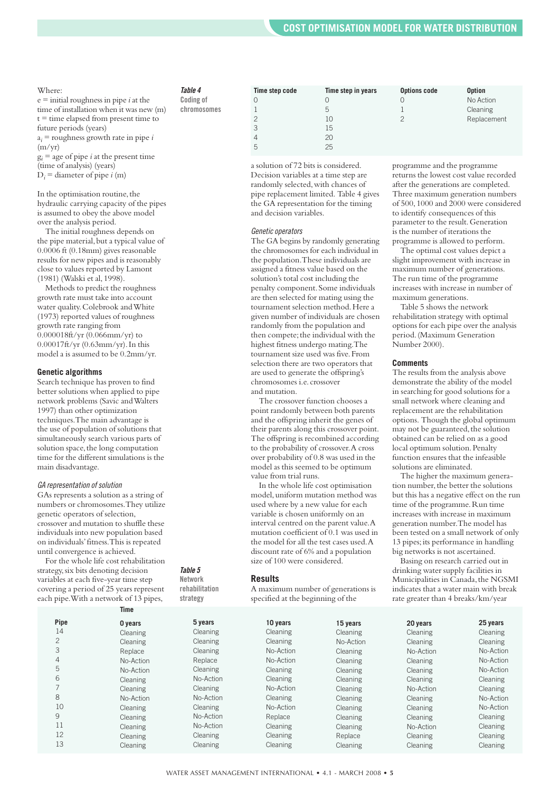#### Where:

e = initial roughness in pipe *i* at the time of installation when it was new (m)  $t =$  time elapsed from present time to future periods (years)  $a_i$  = roughness growth rate in pipe *i*  $(m/yr)$  $g_i$  = age of pipe *i* at the present time

(time of analysis) (years)

 $D_i$  = diameter of pipe *i* (m)

In the optimisation routine, the hydraulic carrying capacity of the pipes is assumed to obey the above model over the analysis period.

The initial roughness depends on the pipe material, but a typical value of 0.0006 ft (0.18mm) gives reasonable results for new pipes and is reasonably close to values reported by Lamont (1981) (Walski et al,1998).

Methods to predict the roughness growth rate must take into account water quality.Colebrook andWhite (1973) reported values of roughness growth rate ranging from 0.000018ft/yr (0.066mm/yr) to 0.00017ft/yr (0.63mm/yr).In this model a is assumed to be 0.2mm/yr.

#### **Genetic algorithms**

Search technique has proven to find better solutions when applied to pipe network problems (Savic andWalters 1997) than other optimization techniques.The main advantage is the use of population of solutions that simultaneously search various parts of solution space, the long computation time for the different simulations is the main disadvantage.

#### *GA representation ofsolution*

GAs represents a solution as a string of numbers or chromosomes.They utilize genetic operators of selection, crossover and mutation to shuffle these individuals into new population based on individuals'fitness.This is repeated until convergence is achieved.

For the whole life cost rehabilitation strategy,six bits denoting decision variables at each five-year time step covering a period of 25 years represent each pipe.With a network of 13 pipes,

#### *Table 4*

**Coding of chromosomes**

| Time step code | Time step in years | <b>Options code</b> | <b>Option</b> |
|----------------|--------------------|---------------------|---------------|
|                | 0                  |                     | No Action     |
|                | 5                  |                     | Cleaning      |
| 2              | $\overline{1}$ ()  | っ                   | Replacement   |
| 3              | 15                 |                     |               |
|                | 20                 |                     |               |
| 5              | 25                 |                     |               |

a solution of 72 bits is considered. Decision variables at a time step are randomly selected, with chances of pipe replacement limited. Table 4 gives the GA representation for the timing and decision variables.

#### Genetic operators

The GA begins by randomly generating the chromosomes for each individual in the population.These individuals are assigned a fitness value based on the solution's total cost including the penalty component.Some individuals are then selected for mating using the tournament selection method.Here a given number of individuals are chosen randomly from the population and then compete; the individual with the highest fitness undergo mating.The tournament size used was five.From selection there are two operators that are used to generate the offspring's chromosomes i.e. crossover and mutation.

The crossover function chooses a point randomly between both parents and the offspring inherit the genes of their parents along this crossover point. The offspring is recombined according to the probability of crossover.A cross over probability of 0.8 was used in the model as this seemed to be optimum value from trial runs.

In the whole life cost optimisation model,uniform mutation method was used where by a new value for each variable is chosen uniformly on an interval centred on the parent value.A mutation coefficient of 0.1 was used in the model for all the test cases used.A discount rate of 6% and a population size of 100 were considered.

#### **Results**

*Table 5* **Network rehabilitation strategy**

A maximum number of generations is specified at the beginning of the

programme and the programme returns the lowest cost value recorded after the generations are completed. Three maximum generation numbers of 500,1000 and 2000 were considered to identify consequences of this parameter to the result.Generation is the number of iterations the programme is allowed to perform.

The optimal cost values depict a slight improvement with increase in maximum number of generations. The run time of the programme increases with increase in number of maximum generations.

Table 5 shows the network rehabilitation strategy with optimal options for each pipe over the analysis period.(Maximum Generation Number 2000).

#### **Comments**

The results from the analysis above demonstrate the ability of the model in searching for good solutions for a small network where cleaning and replacement are the rehabilitation options. Though the global optimum may not be guaranteed, the solution obtained can be relied on as a good local optimum solution. Penalty function ensures that the infeasible solutions are eliminated.

The higher the maximum generation number, the better the solutions but this has a negative effect on the run time of the programme. Run time increases with increase in maximum generation number.The model has been tested on a small network of only 13 pipes;its performance in handling big networks is not ascertained.

Basing on research carried out in drinking water supply facilities in Municipalities in Canada, the NGSMI indicates that a water main with break rate greater than 4 breaks/km/year

|                | Time      |                 |           |           |           |           |
|----------------|-----------|-----------------|-----------|-----------|-----------|-----------|
| Pipe           | 0 years   | 5 years         | 10 years  | 15 years  | 20 years  | 25 years  |
| 14             | Cleaning  | Cleaning        | Cleaning  | Cleaning  | Cleaning  | Cleaning  |
| 2              | Cleaning  | Cleaning        | Cleaning  | No-Action | Cleaning  | Cleaning  |
| 3              | Replace   | Cleaning        | No-Action | Cleaning  | No-Action | No-Action |
| $\overline{4}$ | No-Action | Replace         | No-Action | Cleaning  | Cleaning  | No-Action |
| 5              | No-Action | <b>Cleaning</b> | Cleaning  | Cleaning  | Cleaning  | No-Action |
| 6              | Cleaning  | No-Action       | Cleaning  | Cleaning  | Cleaning  | Cleaning  |
|                | Cleaning  | Cleaning        | No-Action | Cleaning  | No-Action | Cleaning  |
| 8              | No-Action | No-Action       | Cleaning  | Cleaning  | Cleaning  | No-Action |
| 10             | Cleaning  | Cleaning        | No-Action | Cleaning  | Cleaning  | No-Action |
| 9              | Cleaning  | No-Action       | Replace   | Cleaning  | Cleaning  | Cleaning  |
| 11             | Cleaning  | No-Action       | Cleaning  | Cleaning  | No-Action | Cleaning  |
| 12             | Cleaning  | Cleaning        | Cleaning  | Replace   | Cleaning  | Cleaning  |
| 13             | Cleaning  | Cleaning        | Cleaning  | Cleaning  | Cleaning  | Cleaning  |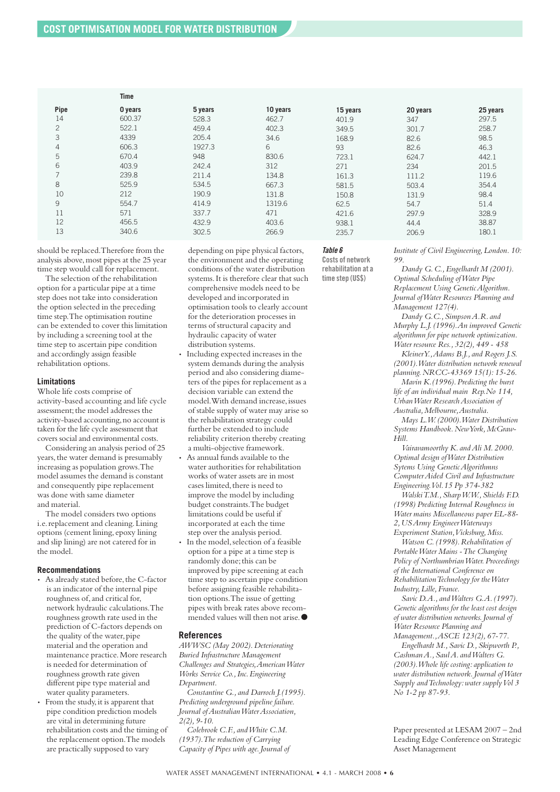|                | Time    |         |          |          |          |          |
|----------------|---------|---------|----------|----------|----------|----------|
| Pipe           | 0 years | 5 years | 10 years | 15 years | 20 years | 25 years |
| 14             | 600.37  | 528.3   | 462.7    | 401.9    | 347      | 297.5    |
| $\mathbf{2}$   | 522.1   | 459.4   | 402.3    | 349.5    | 301.7    | 258.7    |
| 3              | 4339    | 205.4   | 34.6     | 168.9    | 82.6     | 98.5     |
| $\overline{4}$ | 606.3   | 1927.3  | 6        | 93       | 82.6     | 46.3     |
| 5              | 670.4   | 948     | 830.6    | 723.1    | 624.7    | 442.1    |
| 6              | 403.9   | 242.4   | 312      | 271      | 234      | 201.5    |
| $\overline{7}$ | 239.8   | 211.4   | 134.8    | 161.3    | 111.2    | 119.6    |
| 8              | 525.9   | 534.5   | 667.3    | 581.5    | 503.4    | 354.4    |
| 10             | 212     | 190.9   | 131.8    | 150.8    | 131.9    | 98.4     |
| 9              | 554.7   | 414.9   | 1319.6   | 62.5     | 54.7     | 51.4     |
| 11             | 571     | 337.7   | 471      | 421.6    | 297.9    | 328.9    |
| 12             | 456.5   | 432.9   | 403.6    | 938.1    | 44.4     | 38.87    |
| 13             | 340.6   | 302.5   | 266.9    | 235.7    | 206.9    | 180.1    |
|                |         |         |          |          |          |          |

should be replaced.Therefore from the analysis above, most pipes at the 25 year time step would call for replacement.

The selection of the rehabilitation option for a particular pipe at a time step does not take into consideration the option selected in the preceding time step.The optimisation routine can be extended to cover this limitation by including a screening tool at the time step to ascertain pipe condition and accordingly assign feasible rehabilitation options.

#### **Limitations**

Whole life costs comprise of activity-based accounting and life cycle assessment; the model addresses the activity-based accounting,no account is taken for the life cycle assessment that covers social and environmental costs.

Considering an analysis period of 25 years, the water demand is presumably increasing as population grows.The model assumes the demand is constant and consequently pipe replacement was done with same diameter and material.

The model considers two options i.e. replacement and cleaning. Lining options (cement lining, epoxy lining and slip lining) are not catered for in the model.

#### **Recommendations**

- As already stated before, the C-factor is an indicator of the internal pipe roughness of, and critical for, network hydraulic calculations.The roughness growth rate used in the prediction of C-factors depends on the quality of the water, pipe material and the operation and maintenance practice.More research is needed for determination of roughness growth rate given different pipe type material and water quality parameters.
- From the study, it is apparent that pipe condition prediction models are vital in determining future rehabilitation costs and the timing of the replacement option.The models are practically supposed to vary

depending on pipe physical factors, the environment and the operating conditions of the water distribution systems.It is therefore clear that such comprehensive models need to be developed and incorporated in optimisation tools to clearly account for the deterioration processes in terms of structural capacity and hydraulic capacity of water distribution systems.

- *•* Including expected increases in the system demands during the analysis period and also considering diameters of the pipes for replacement as a decision variable can extend the model. With demand increase, issues of stable supply of water may arise so the rehabilitation strategy could further be extended to include reliability criterion thereby creating a multi-objective framework.
- *•* As annual funds available to the water authorities for rehabilitation works of water assets are in most cases limited, there is need to improve the model by including budget constraints.The budget limitations could be useful if incorporated at each the time step over the analysis period. • In the model, selection of a feasible option for a pipe at a time step is randomly done; this can be improved by pipe screening at each time step to ascertain pipe condition

before assigning feasible rehabilitation options.The issue of getting pipes with break rates above recommended values will then not arise.**●**

#### **References**

*AWWSC (May 2002).Deteriorating Buried Infrastructure Management Challenges and Strategies,AmericanWater Works Service Co.,Inc.Engineering Department.*

*Constantine G., and Darroch J.(1995). Predicting underground pipeline failure. Journal ofAustralianWaterAssociation, 2(2),9-10.*

*Colebrook C.F., andWhite C.M. (1937).The reduction of Carrying Capacity of Pipes with age.Journal of*

#### *Table 6*

**Costs of network rehabilitation at a time step (US\$)**

*Institute of Civil Engineering,London.10: 99.*

*Dandy G.C.,Engelhardt M (2001). Optimal Scheduling ofWater Pipe Replacement Using GeneticAlgorithm. Journal ofWater Resources Planning and Management 127(4).*

*Dandy G.C.,SimpsonA.R. and Murphy L.J.(1996).An improved Genetic algorithmn for pipe network optimization. Water resource Res.,32(2),449 - 458*

*KleinerY.,Adams B.J., and Rogers J.S. (2001).Water distribution network renewal planning.NRCC-43369 15(1):15-26.*

*Mavin K.(1996).Predicting the burst life of an individual main Rep.No 114, UrbanWater ResearchAssociation of Australia,Melbourne,Australia.*

*Mays L.W.(2000).Water Distribution Systems Handbook.NewYork,McGraw-Hill.*

*Vairavamoorthy K. andAli M.2000. Optimal design ofWater Distribution Sytems Using GeneticAlgorithmns ComputerAided Civil and Infrastructure Engineering.Vol.15 Pp 374-382*

*WalskiT.M.,SharpW.W.,Shields F.D. (1998) Predicting Internal Roughness in Water mains Miscellaneous paper EL-88- 2,USArmy EngineerWaterways Experiment Station,Vicksburg,Miss.*

*Watson C.(1998).Rehabilitation of PortableWater Mains -The Changing Policy of NorthumbrianWater.Proceedings of the International Conference on RehabilitationTechnology for theWater Industry,Lille,France.*

*Savic D.A., andWalters G.A.(1997). Genetic algorithms for the least cost design of water distribution networks.Journal of Water Resource Planning and Management.,ASCE 123(2),67-77.*

*Engelhardt M.,Savic D.,Skipworth P., CashmanA.,SaulA. andWalters G. (2003).Whole life costing: application to water distribution network.Journal ofWater Supply andTechnology:water supplyVol 3 No 1-2 pp 87-93.*

Paper presented at LESAM 2007 – 2nd Leading Edge Conference on Strategic Asset Management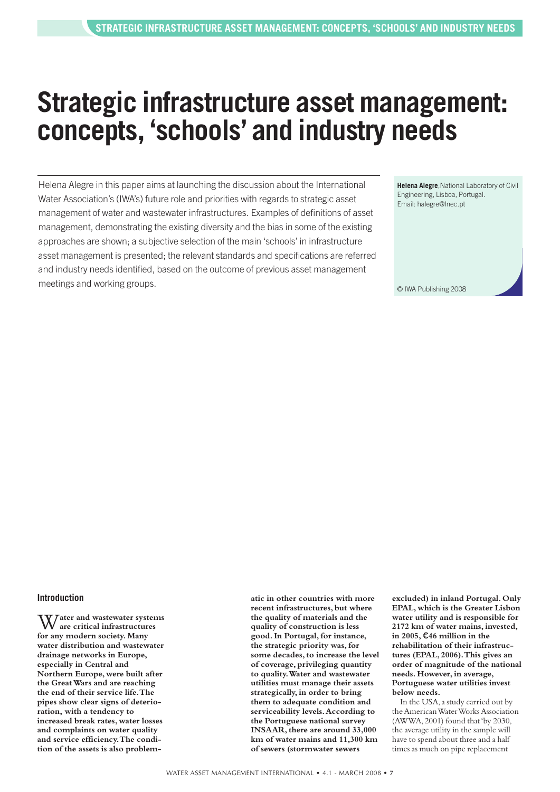# **Strategic infrastructure asset management: concepts, 'schools' and industry needs**

Helena Alegre in this paper aims at launching the discussion about the International Water Association's (IWA's) future role and priorities with regards to strategic asset management of water and wastewater infrastructures. Examples of definitions of asset management, demonstrating the existing diversity and the bias in some of the existing approaches are shown; a subjective selection of the main 'schools' in infrastructure asset management is presented; the relevant standards and specifications are referred and industry needs identified, based on the outcome of previous asset management meetings and working groups.

**Helena Alegre**,National Laboratory of Civil Engineering, Lisboa, Portugal. Email: halegre@lnec.pt

© IWA Publishing 2008

#### **Introduction**

W**ater and wastewater systems are critical infrastructures for any modern society. Many water distribution and wastewater drainage networks in Europe, especially in Central and Northern Europe, were built after the GreatWars and are reaching the end of their service life.The pipes show clear signs of deterioration, with a tendency to increased break rates, water losses and complaints on water quality and service efficiency.The condition of the assets is also problem-** **atic in other countries with more recent infrastructures, but where the quality of materials and the quality of construction is less good.In Portugal, for instance, the strategic priority was, for some decades,to increase the level of coverage, privileging quantity to quality.Water and wastewater utilities must manage their assets strategically, in order to bring them to adequate condition and serviceability levels.According to the Portuguese national survey INSAAR,there are around 33,000 km of water mains and 11,300 km of sewers (stormwater sewers**

**excluded) in inland Portugal. Only EPAL, which is the Greater Lisbon water utility and is responsible for 2172 km of water mains, invested, in 2005,** €**46 million in the rehabilitation of their infrastructures (EPAL, 2006).This gives an order of magnitude of the national needs. However, in average, Portuguese water utilities invest below needs.**

In the USA,a study carried out by theAmericanWaterWorksAssociation (AWWA,2001) found that'by 2030, the average utility in the sample will have to spend about three and a half times as much on pipe replacement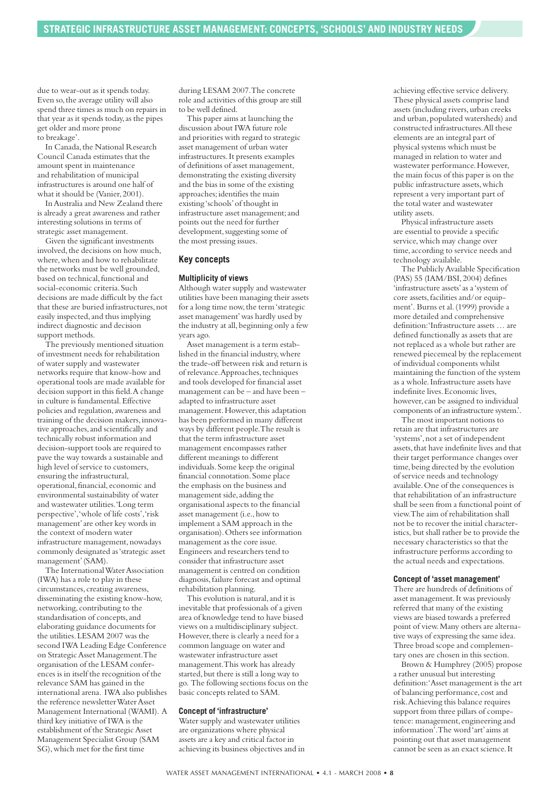due to wear-out as it spends today. Even so,the average utility will also spend three times as much on repairs in that year as it spends today, as the pipes get older and more prone to breakage'.

In Canada, the National Research Council Canada estimates that the amount spent in maintenance and rehabilitation of municipal infrastructures is around one half of what it should be (Vanier, 2001).

InAustralia and New Zealand there is already a great awareness and rather interesting solutions in terms of strategic asset management.

Given the significant investments involved, the decisions on how much, where, when and how to rehabilitate the networks must be well grounded, based on technical, functional and social-economic criteria.Such decisions are made difficult by the fact that these are buried infrastructures, not easily inspected,and thus implying indirect diagnostic and decision support methods.

The previously mentioned situation of investment needs for rehabilitation of water supply and wastewater networks require that know-how and operational tools are made available for decision support in this field.A change in culture is fundamental.Effective policies and regulation, awareness and training of the decision makers,innovative approaches,and scientifically and technically robust information and decision-support tools are required to pave the way towards a sustainable and high level of service to customers, ensuring the infrastructural, operational, financial, economic and environmental sustainability of water and wastewater utilities.'Long term perspective','whole of life costs','risk management'are other key words in the context of modern water infrastructure management, nowadays commonly designated as'strategic asset management'(SAM).

The International Water Association (IWA) has a role to play in these circumstances, creating awareness, disseminating the existing know-how, networking, contributing to the standardisation of concepts,and elaborating guidance documents for the utilities.LESAM 2007 was the second IWA Leading Edge Conference on StrategicAsset Management.The organisation of the LESAM conferences is in itself the recognition of the relevance SAM has gained in the international arena. IWA also publishes the reference newsletter Water Asset Management International (WAMI). A third key initiative of IWA is the establishment of the Strategic Asset Management Specialist Group (SAM SG),which met for the first time

during LESAM 2007.The concrete role and activities of this group are still to be well defined.

This paper aims at launching the discussion about IWA future role and priorities with regard to strategic asset management of urban water infrastructures.It presents examples of definitions of asset management, demonstrating the existing diversity and the bias in some of the existing approaches; identifies the main existing 'schools'of thought in infrastructure asset management;and points out the need for further development, suggesting some of the most pressing issues.

#### **Key concepts**

#### **Multiplicity of views**

Although water supply and wastewater utilities have been managing their assets for a long time now,the term'strategic asset management'was hardly used by the industry at all, beginning only a few years ago.

Asset management is a term established in the financial industry, where the trade-off between risk and return is of relevance. Approaches, techniques and tools developed for financial asset management can be – and have been – adapted to infrastructure asset management. However, this adaptation has been performed in many different ways by different people.The result is that the term infrastructure asset management encompasses rather different meanings to different individuals.Some keep the original financial connotation.Some place the emphasis on the business and management side, adding the organisational aspects to the financial asset management (i.e., how to implement a SAM approach in the organisation).Others see information management as the core issue. Engineers and researchers tend to consider that infrastructure asset management is centred on condition diagnosis,failure forecast and optimal rehabilitation planning.

This evolution is natural, and it is inevitable that professionals of a given area of knowledge tend to have biased views on a multidisciplinary subject. However, there is clearly a need for a common language on water and wastewater infrastructure asset management.This work has already started, but there is still a long way to go. The following sections focus on the basic concepts related to SAM.

#### **Concept of 'infrastructure'**

Water supply and wastewater utilities are organizations where physical assets are a key and critical factor in achieving its business objectives and in

achieving effective service delivery. These physical assets comprise land assets (including rivers,urban creeks and urban,populated watersheds) and constructed infrastructures.All these elements are an integral part of physical systems which must be managed in relation to water and wastewater performance.However, the main focus of this paper is on the public infrastructure assets,which represent a very important part of the total water and wastewater utility assets.

Physical infrastructure assets are essential to provide a specific service,which may change over time, according to service needs and technology available.

The PubliclyAvailable Specification (PAS) 55 (IAM/BSI,2004) defines 'infrastructure assets'as a'system of core assets,facilities and/or equipment'. Burns et al.(1999) provide a more detailed and comprehensive definition:'Infrastructure assets … are defined functionally as assets that are not replaced as a whole but rather are renewed piecemeal by the replacement of individual components whilst maintaining the function of the system as a whole.Infrastructure assets have indefinite lives. Economic lives, however, can be assigned to individual components of an infrastructure system.'.

The most important notions to retain are that infrastructures are 'systems',not a set of independent assets, that have indefinite lives and that their target performance changes over time,being directed by the evolution of service needs and technology available.One of the consequences is that rehabilitation of an infrastructure shall be seen from a functional point of view.The aim of rehabilitation shall not be to recover the initial characteristics, but shall rather be to provide the necessary characteristics so that the infrastructure performs according to the actual needs and expectations.

#### **Concept of 'asset management'**

There are hundreds of definitions of asset management.It was previously referred that many of the existing views are biased towards a preferred point of view.Many others are alternative ways of expressing the same idea. Three broad scope and complementary ones are chosen in this section.

Brown & Humphrey (2005) propose a rather unusual but interesting definition:'Asset management is the art of balancing performance, cost and risk.Achieving this balance requires support from three pillars of competence: management, engineering and information'.The word'art'aims at pointing out that asset management cannot be seen as an exact science.It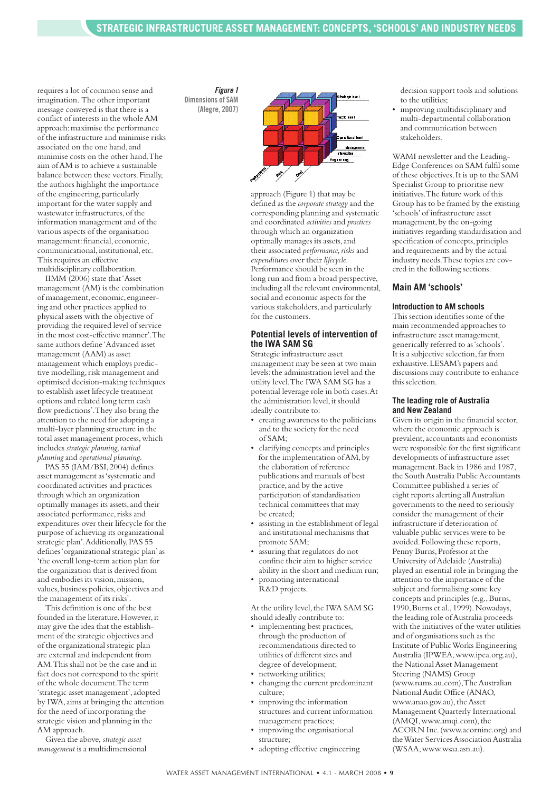requires a lot of common sense and imagination. The other important message conveyed is that there is a conflict of interests in the wholeAM approach:maximise the performance of the infrastructure and minimise risks associated on the one hand,and minimise costs on the other hand.The aim ofAM is to achieve a sustainable balance between these vectors.Finally, the authors highlight the importance of the engineering, particularly important for the water supply and wastewater infrastructures, of the information management and of the various aspects of the organisation management: financial, economic, communicational, institutional, etc. This requires an effective multidisciplinary collaboration.

IIMM (2006) state that'Asset management (AM) is the combination of management, economic, engineering and other practices applied to physical assets with the objective of providing the required level of service in the most cost-effective manner'.The same authors define 'Advanced asset management (AAM) as asset management which employs predictive modelling, risk management and optimised decision-making techniques to establish asset lifecycle treatment options and related long term cash flow predictions'.They also bring the attention to the need for adopting a multi-layer planning structure in the total asset management process,which includes *strategic planning,tactical planning* and *operational planning*.

PAS 55 (IAM/BSI, 2004) defines asset management as'systematic and coordinated activities and practices through which an organization optimally manages its assets,and their associated performance, risks and expenditures over their lifecycle for the purpose of achieving its organizational strategic plan'. Additionally, PAS 55 defines'organizational strategic plan'as 'the overall long-term action plan for the organization that is derived from and embodies its vision, mission, values, business policies, objectives and the management of its risks'.

This definition is one of the best founded in the literature. However, it may give the idea that the establishment of the strategic objectives and of the organizational strategic plan are external and independent from AM.This shall not be the case and in fact does not correspond to the spirit of the whole document.The term 'strategic asset management',adopted by IWA,aims at bringing the attention for the need of incorporating the strategic vision and planning in the AM approach.

Given the above, *strategic asset management* is a multidimensional

#### *Figure 1* **Dimensions of SAM (Alegre, 2007)**



approach (Figure 1) that may be defined as the *corporate strategy* and the corresponding planning and systematic and coordinated *activities* and *practices* through which an organization optimally manages its assets,and their associated *performance*, risks and *expenditures* over their *lifecycle*. Performance should be seen in the long run and from a broad perspective, including all the relevant environmental, social and economic aspects for the various stakeholders,and particularly for the customers.

#### **Potential levels of intervention of the IWA SAM SG**

Strategic infrastructure asset management may be seen at two main levels:the administration level and the utility level.The IWA SAM SG has a potential leverage role in both cases.At the administration level, it should ideally contribute to:

- creating awareness to the politicians and to the society for the need of SAM;
- clarifying concepts and principles for the implementation of AM, by the elaboration of reference publications and manuals of best practice,and by the active participation of standardisation technical committees that may be created;
- assisting in the establishment of legal and institutional mechanisms that promote SAM;
- assuring that regulators do not confine their aim to higher service ability in the short and medium run;
- promoting international R&D projects.

At the utility level, the IWA SAM SG should ideally contribute to:

- implementing best practices, through the production of recommendations directed to utilities of different sizes and degree of development; • networking utilities;
- changing the current predominant culture;
- improving the information structures and current information management practices;
- improving the organisational structure;
- adopting effective engineering

decision support tools and solutions to the utilities;

• improving multidisciplinary and multi-departmental collaboration and communication between stakeholders.

WAMI newsletter and the Leading-Edge Conferences on SAM fulfil some of these objectives.It is up to the SAM Specialist Group to prioritise new initiatives.The future work of this Group has to be framed by the existing 'schools'of infrastructure asset management, by the on-going initiatives regarding standardisation and specification of concepts, principles and requirements and by the actual industry needs.These topics are covered in the following sections.

#### **Main AM 'schools'**

#### **Introduction to AM schools**

This section identifies some of the main recommended approaches to infrastructure asset management, generically referred to as'schools'. It is a subjective selection,far from exhaustive.LESAM's papers and discussions may contribute to enhance this selection.

#### **The leading role of Australia and New Zealand**

Given its origin in the financial sector, where the economic approach is prevalent,accountants and economists were responsible for the first significant developments of infrastructure asset management.Back in 1986 and 1987, the South Australia Public Accountants Committee published a series of eight reports alerting allAustralian governments to the need to seriously consider the management of their infrastructure if deterioration of valuable public services were to be avoided.Following these reports, Penny Burns, Professor at the University ofAdelaide (Australia) played an essential role in bringing the attention to the importance of the subject and formalising some key concepts and principles (e.g.,Burns, 1990,Burns et al.,1999).Nowadays, the leading role of Australia proceeds with the initiatives of the water utilities and of organisations such as the Institute of PublicWorks Engineering Australia (IPWEA,www.ipea.org.au), the National Asset Management Steering (NAMS) Group (www.nams.au.com),TheAustralian NationalAudit Office (ANAO, www.anao.gov.au), the Asset Management Quarterly International (AMQI,www.amqi.com),the ACORN Inc.(www.acorninc.org) and the Water Services Association Australia (WSAA,www.wsaa.asn.au).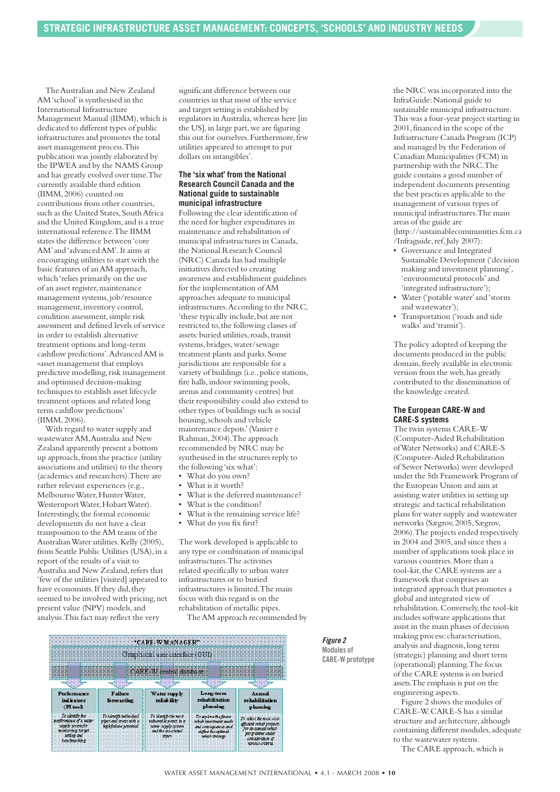The Australian and New Zealand AM'school'is synthesised in the International Infrastructure Management Manual (IIMM), which is dedicated to different types of public infrastructures and promotes the total asset management process.This publication was jointly elaborated by the IPWEA and by the NAMS Group and has greatly evolved over time.The currently available third edition (IIMM,2006) counted on contributions from other countries, such as the United States, South Africa and the United Kingdom,and is a true international reference.The IIMM states the difference between'core AM'and'advancedAM'.It aims at encouraging utilities to start with the basic features of anAM approach, which 'relies primarily on the use of an asset register,maintenance management systems,job/resource management, inventory control, condition assessment, simple risk assessment and defined levels of service in order to establish alternative treatment options and long-term cashflow predictions'.AdvancedAM is «asset management that employs predictive modelling,risk management and optimised decision-making techniques to establish asset lifecycle treatment options and related long term cashflow predictions' (IIMM,2006).

With regard to water supply and wastewaterAM,Australia and New Zealand apparently present a bottom up approach,from the practice (utility associations and utilities) to the theory (academics and researchers).There are rather relevant experiences (e.g., Melbourne Water, Hunter Water, Westernport Water, Hobart Water). Interestingly, the formal economic developments do not have a clear transposition to theAM teams of the AustralianWater utilities.Kelly (2005), from Seattle Public Utilities (USA), in a report of the results of a visit to Australia and New Zealand, refers that 'few of the utilities [visited] appeared to have economists. If they did, they seemed to be involved with pricing, net present value (NPV) models, and analysis.This fact may reflect the very

significant difference between our countries in that most of the service and target setting is established by regulators inAustralia,whereas here [in the US],in large part,we are figuring this out for ourselves.Furthermore,few utilities appeared to attempt to put dollars on intangibles'.

#### **The 'six what' from the National Research Council Canada and the National guide to sustainable municipal infrastructure**

Following the clear identification of the need for higher expenditures in maintenance and rehabilitation of municipal infrastructures in Canada, the National Research Council (NRC) Canada has had multiple initiatives directed to creating awareness and establishment guidelines for the implementation ofAM approaches adequate to municipal infrastructures.According to the NRC, 'these typically include, but are not restricted to,the following classes of assets: buried utilities, roads, transit systems,bridges,water/sewage treatment plants and parks.Some jurisdictions are responsible for a variety of buildings (i.e., police stations, fire halls, indoor swimming pools, arenas and community centres) but their responsibility could also extend to other types of buildings such as social housing,schools and vehicle maintenance depots.'(Vanier e Rahman,2004).The approach recommended by NRC may be synthesised in the structures reply to the following 'six what':

- What do you own?
- What is it worth?
- What is the deferred maintenance?
- What is the condition?
- What is the remaining service life?
- What do you fix first?

The work developed is applicable to any type or combination of municipal infrastructures.The activities related specifically to urban water infrastructures or to buried infrastructures is limited.The main focus with this regard is on the rehabilitation of metallic pipes.

TheAM approach recommended by



the NRC was incorporated into the InfraGuide:National guide to sustainable municipal infrastructure. This was a four-year project starting in 2001, financed in the scope of the Infrastructure Canada Program (ICP) and managed by the Federation of Canadian Municipalities (FCM) in partnership with the NRC.The guide contains a good number of independent documents presenting the best practices applicable to the management of various types of municipal infrastructures.The main areas of the guide are (http://sustainablecommunities.fcm.ca /Infraguide,ref,July 2007):

- Governance and Integrated Sustainable Development ('decision making and investment planning', 'environmental protocols'and 'integrated infrastructure');
- Water ('potable water'and'storm and wastewater');
- Transportation ('roads and side walks'and'transit').

The policy adopted of keeping the documents produced in the public domain,freely available in electronic version from the web,has greatly contributed to the dissemination of the knowledge created.

#### **The European CARE-W and CARE-S systems**

The twin systems CARE-W (Computer-Aided Rehabilitation ofWater Networks) and CARE-S (Computer-Aided Rehabilitation of Sewer Networks) were developed under the 5th Framework Program of the European Union and aim at assisting water utilities in setting up strategic and tactical rehabilitation plans for water supply and wastewater networks (Sægrov,2005,Sægrov, 2006).The projects ended respectively in  $2004$  and  $2005$ , and since then a number of applications took place in various countries.More than a tool-kit, the CARE systems are a framework that comprises an integrated approach that promotes a global and integrated view of rehabilitation.Conversely,the tool-kit includes software applications that assist in the main phases of decision making process: characterisation, analysis and diagnosis,long term (strategic) planning and short term (operational) planning.The focus of the CARE systems is on buried assets.The emphasis is put on the engineering aspects.

Figure 2 shows the modules of CARE-W.CARE-S has a similar structure and architecture, although containing different modules, adequate to the wastewater systems.

The CARE approach,which is

*Figure 2* **Modules of CARE-W prototype**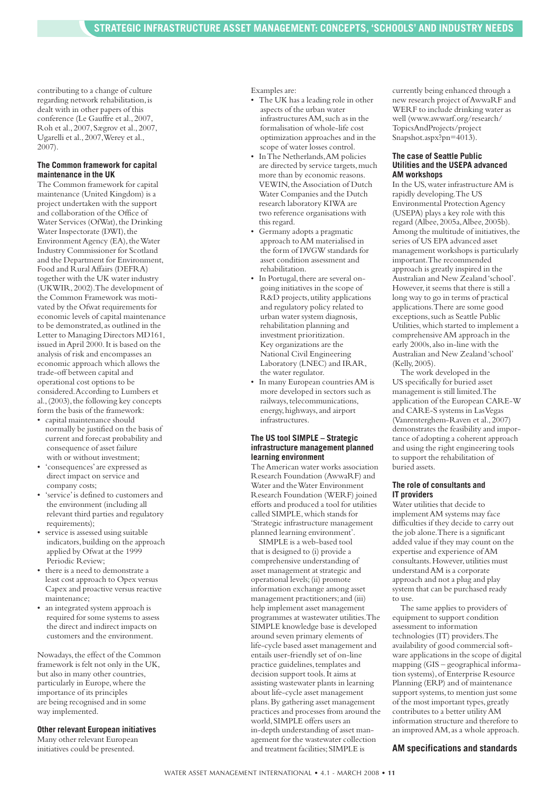contributing to a change of culture regarding network rehabilitation,is dealt with in other papers of this conference (Le Gauffre et al., 2007, Roh et al.,2007,Sægrov et al.,2007, Ugarelli et al.,2007,Werey et al., 2007).

#### **The Common framework for capital maintenance in the UK**

The Common framework for capital maintenance (United Kingdom) is a project undertaken with the support and collaboration of the Office of Water Services (OfWat), the Drinking Water Inspectorate (DWI), the Environment Agency (EA), the Water Industry Commissioner for Scotland and the Department for Environment, Food and RuralAffairs (DEFRA) together with the UK water industry (UKWIR,2002).The development of the Common Framework was motivated by the Ofwat requirements for economic levels of capital maintenance to be demonstrated,as outlined in the Letter to Managing Directors MD161, issued inApril 2000.It is based on the analysis of risk and encompasses an economic approach which allows the trade-off between capital and operational cost options to be considered.According to Lumbers et al., (2003), the following key concepts form the basis of the framework:

- capital maintenance should normally be justified on the basis of current and forecast probability and consequence of asset failure with or without investment:
- 'consequences'are expressed as direct impact on service and company costs;
- 'service'is defined to customers and the environment (including all relevant third parties and regulatory requirements);
- service is assessed using suitable indicators,building on the approach applied by Ofwat at the 1999 Periodic Review;
- there is a need to demonstrate a least cost approach to Opex versus Capex and proactive versus reactive maintenance;
- an integrated system approach is required for some systems to assess the direct and indirect impacts on customers and the environment.

Nowadays,the effect of the Common framework is felt not only in the UK, but also in many other countries, particularly in Europe,where the importance of its principles are being recognised and in some way implemented.

#### **Other relevant European initiatives**

Many other relevant European initiatives could be presented.

Examples are:

- The UK has a leading role in other aspects of the urban water infrastructures AM, such as in the formalisation of whole-life cost optimization approaches and in the scope of water losses control.
- In The Netherlands, AM policies are directed by service targets, much more than by economic reasons. VEWIN, the Association of Dutch Water Companies and the Dutch research laboratory KIWA are two reference organisations with this regard.
- Germany adopts a pragmatic approach toAM materialised in the form of DVGW standards for asset condition assessment and rehabilitation.
- In Portugal, there are several ongoing initiatives in the scope of R&D projects,utility applications and regulatory policy related to urban water system diagnosis, rehabilitation planning and investment prioritization. Key organizations are the National Civil Engineering Laboratory (LNEC) and IRAR, the water regulator.
- In many European countriesAM is more developed in sectors such as railways, telecommunications, energy, highways, and airport infrastructures.

#### **The US tool SIMPLE – Strategic infrastructure management planned learning environment**

TheAmerican water works association Research Foundation (AwwaRF) and Water and theWater Environment Research Foundation (WERF) joined efforts and produced a tool for utilities called SIMPLE,which stands for 'Strategic infrastructure management planned learning environment'.

SIMPLE is a web-based tool that is designed to (i) provide a comprehensive understanding of asset management at strategic and operational levels;(ii) promote information exchange among asset management practitioners;and (iii) help implement asset management programmes at wastewater utilities.The SIMPLE knowledge base is developed around seven primary elements of life-cycle based asset management and entails user-friendly set of on-line practice guidelines,templates and decision support tools.It aims at assisting wastewater plants in learning about life-cycle asset management plans.By gathering asset management practices and processes from around the world,SIMPLE offers users an in-depth understanding of asset management for the wastewater collection and treatment facilities; SIMPLE is

currently being enhanced through a new research project ofAwwaRF and WERF to include drinking water as well (www.awwarf.org/research/ TopicsAndProjects/project Snapshot.aspx?pn=4013).

#### **The case of Seattle Public Utilities and the USEPA advanced AM workshops**

In the US,water infrastructureAM is rapidly developing.The US Environmental ProtectionAgency (USEPA) plays a key role with this regard (Albee,2005a,Albee, 2005b). Among the multitude of initiatives, the series of US EPA advanced asset management workshops is particularly important.The recommended approach is greatly inspired in the Australian and New Zealand'school'. However, it seems that there is still a long way to go in terms of practical applications.There are some good exceptions,such as Seattle Public Utilities,which started to implement a comprehensiveAM approach in the early 2000s, also in-line with the Australian and New Zealand'school' (Kelly,2005).

The work developed in the US specifically for buried asset management is still limited.The application of the European CARE-W and CARE-S systems in LasVegas (Vanrenterghem-Raven et al.,2007) demonstrates the feasibility and importance of adopting a coherent approach and using the right engineering tools to support the rehabilitation of buried assets.

#### **The role of consultants and IT providers**

Water utilities that decide to implementAM systems may face difficulties if they decide to carry out the job alone.There is a significant added value if they may count on the expertise and experience ofAM consultants. However, utilities must understandAM is a corporate approach and not a plug and play system that can be purchased ready to use.

The same applies to providers of equipment to support condition assessment to information technologies (IT) providers.The availability of good commercial software applications in the scope of digital mapping (GIS – geographical information systems),of Enterprise Resource Planning (ERP) and of maintenance support systems, to mention just some of the most important types, greatly contributes to a better utilityAM information structure and therefore to an improved AM, as a whole approach.

#### **AM specifications and standards**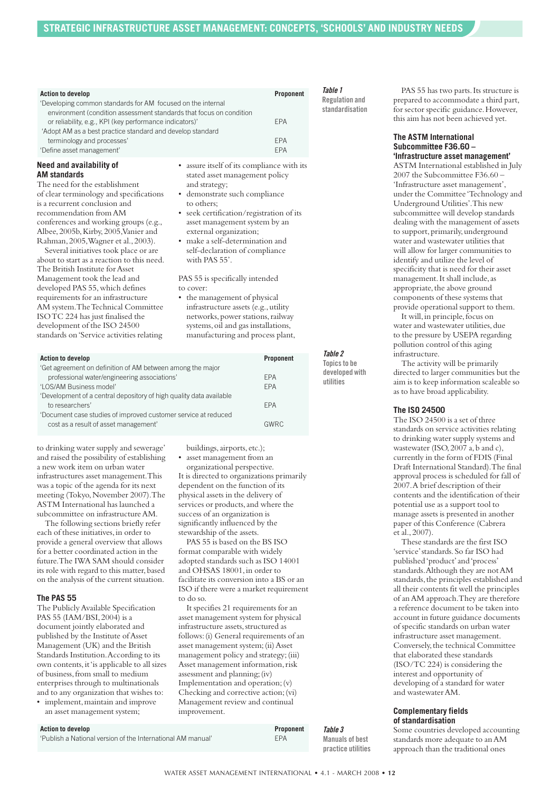| <b>Action to develop</b><br>'Developing common standards for AM focused on the internal<br>environment (condition assessment standards that focus on condition | Proponent  | Table 1<br><b>Regulation and</b><br>standardisation |
|----------------------------------------------------------------------------------------------------------------------------------------------------------------|------------|-----------------------------------------------------|
| or reliability, e.g., KPI (key performance indicators)'<br>'Adopt AM as a best practice standard and develop standard                                          | <b>EPA</b> |                                                     |
| terminology and processes'                                                                                                                                     | <b>FPA</b> |                                                     |
| 'Define asset management'                                                                                                                                      | <b>FPA</b> |                                                     |
|                                                                                                                                                                |            |                                                     |

#### **Need and availability of AM standards**

The need for the establishment of clear terminology and specifications is a recurrent conclusion and recommendation fromAM conferences and working groups (e.g., Albee,2005b,Kirby,2005,Vanier and Rahman,2005,Wagner et al.,2003).

Several initiatives took place or are about to start as a reaction to this need. The British Institute for Asset Management took the lead and developed PAS 55,which defines requirements for an infrastructure AM system.TheTechnical Committee ISOTC 224 has just finalised the development of the ISO 24500 standards on'Service activities relating

- assure itself of its compliance with its stated asset management policy and strategy;
- demonstrate such compliance to others;
- seek certification/registration of its asset management system by an external organization;
- make a self-determination and self-declaration of compliance with PAS 55'.

PAS 55 is specifically intended to cover:

• the management of physical infrastructure assets (e.g.,utility networks,power stations,railway systems,oil and gas installations, manufacturing and process plant,

|                                                                     | Table 2        |
|---------------------------------------------------------------------|----------------|
| <b>Action to develop</b><br>Proponent                               | Topics to be   |
| 'Get agreement on definition of AM between among the major          | developed with |
| professional water/engineering associations'<br><b>FPA</b>          | utilities      |
| 'LOS/AM Business model'<br><b>FPA</b>                               |                |
| 'Development of a central depository of high quality data available |                |
| to researchers'<br><b>FPA</b>                                       |                |
| 'Document case studies of improved customer service at reduced      |                |
| cost as a result of asset management'<br><b>GWRC</b>                |                |

to drinking water supply and sewerage' and raised the possibility of establishing a new work item on urban water infrastructures asset management.This was a topic of the agenda for its next meeting (Tokyo, November 2007). The ASTM International has launched a subcommittee on infrastructureAM.

The following sections briefly refer each of these initiatives, in order to provide a general overview that allows for a better coordinated action in the future.The IWA SAM should consider its role with regard to this matter, based on the analysis of the current situation.

#### **The PAS 55**

The Publicly Available Specification PAS 55 (IAM/BSI,2004) is a document jointly elaborated and published by the Institute ofAsset Management (UK) and the British Standards Institution.According to its own contents,it'is applicable to all sizes of business,from small to medium enterprises through to multinationals and to any organization that wishes to:

• implement, maintain and improve an asset management system;

buildings,airports, etc.);

• asset management from an

organizational perspective. It is directed to organizations primarily dependent on the function of its physical assets in the delivery of services or products,and where the success of an organization is significantly influenced by the stewardship of the assets.

PAS 55 is based on the BS ISO format comparable with widely adopted standards such as ISO 14001 and OHSAS 18001,in order to facilitate its conversion into a BS or an ISO if there were a market requirement to do so.

It specifies 21 requirements for an asset management system for physical infrastructure assets, structured as follows:(i) General requirements of an asset management system;(ii)Asset management policy and strategy;(iii) Asset management information, risk assessment and planning;(iv) Implementation and operation;(v) Checking and corrective action;(vi) Management review and continual improvement.

PAS 55 has two parts. Its structure is prepared to accommodate a third part, for sector specific guidance.However, this aim has not been achieved yet.

#### **The ASTM International Subcommittee F36.60 – 'Infrastructure asset management'**

ASTM International established in July 2007 the Subcommittee F36.60 – 'Infrastructure asset management', under the Committee 'Technology and Underground Utilities'.This new subcommittee will develop standards dealing with the management of assets to support, primarily, underground water and wastewater utilities that will allow for larger communities to identify and utilize the level of specificity that is need for their asset management. It shall include, as appropriate, the above ground components of these systems that provide operational support to them.

It will,in principle,focus on water and wastewater utilities, due to the pressure by USEPA regarding pollution control of this aging infrastructure.

The activity will be primarily directed to larger communities but the aim is to keep information scaleable so as to have broad applicability.

#### **The ISO 24500**

The ISO 24500 is a set of three standards on service activities relating to drinking water supply systems and wastewater (ISO, 2007 a, b and c), currently in the form of FDIS (Final Draft International Standard).The final approval process is scheduled for fall of 2007.A brief description of their contents and the identification of their potential use as a support tool to manage assets is presented in another paper of this Conference (Cabrera et al.,2007).

These standards are the first ISO 'service'standards.So far ISO had published'product'and'process' standards.Although they are notAM standards, the principles established and all their contents fit well the principles of anAM approach.They are therefore a reference document to be taken into account in future guidance documents of specific standards on urban water infrastructure asset management. Conversely, the technical Committee that elaborated these standards (ISO/TC 224) is considering the interest and opportunity of developing of a standard for water and wastewaterAM.

#### **Complementary fields of standardisation**

Some countries developed accounting standards more adequate to anAM approach than the traditional ones

| Action to develop                                           | Proponent  |
|-------------------------------------------------------------|------------|
| 'Publish a National version of the International AM manual' | <b>FPA</b> |

*Table 3* **Manuals of best practice utilities**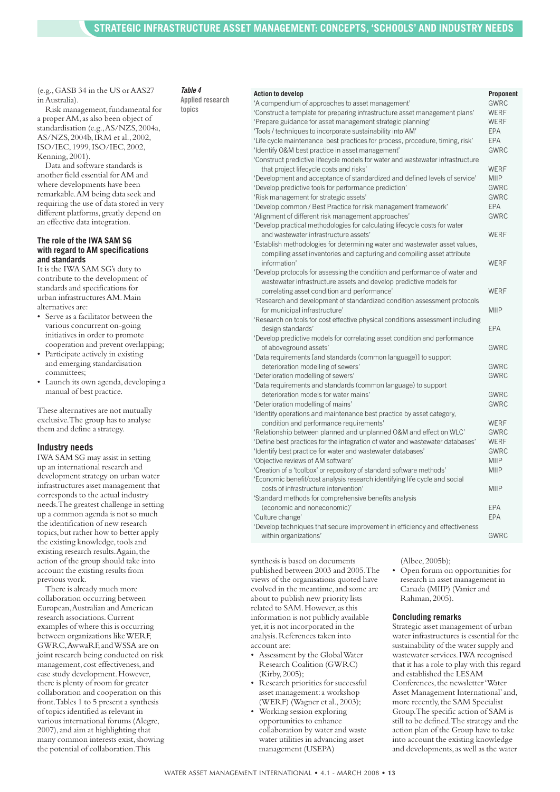(e.g.,GASB 34 in the US orAAS27 inAustralia).

Risk management, fundamental for a properAM,as also been object of standardisation (e.g.,AS/NZS,2004a, AS/NZS,2004b,IRM et al.,2002, ISO/IEC,1999,ISO/IEC,2002, Kenning,2001).

Data and software standards is another field essential forAM and where developments have been remarkable.AM being data seek and requiring the use of data stored in very different platforms, greatly depend on an effective data integration.

#### **The role of the IWA SAM SG with regard to AM specifications and standards**

It is the IWA SAM SG's duty to contribute to the development of standards and specifications for urban infrastructuresAM.Main alternatives are:

- Serve as a facilitator between the various concurrent on-going initiatives in order to promote cooperation and prevent overlapping;
- Participate actively in existing and emerging standardisation committees;
- Launch its own agenda, developing a manual of best practice.

These alternatives are not mutually exclusive.The group has to analyse them and define a strategy.

#### **Industry needs**

IWA SAM SG may assist in setting up an international research and development strategy on urban water infrastructures asset management that corresponds to the actual industry needs.The greatest challenge in setting up a common agenda is not so much the identification of new research topics,but rather how to better apply the existing knowledge, tools and existing research results. Again, the action of the group should take into account the existing results from previous work.

There is already much more collaboration occurring between European,Australian andAmerican research associations.Current examples of where this is occurring between organizations likeWERF, GWRC,AwwaRF,andWSSA are on joint research being conducted on risk management, cost effectiveness,and case study development.However, there is plenty of room for greater collaboration and cooperation on this front.Tables 1 to 5 present a synthesis of topics identified as relevant in various international forums (Alegre, 2007), and aim at highlighting that many common interests exist, showing the potential of collaboration.This

### *Table 4*

|        | Applied research |
|--------|------------------|
| topics |                  |

| 'A compendium of approaches to asset management'                               | <b>GWRC</b> |
|--------------------------------------------------------------------------------|-------------|
| 'Construct a template for preparing infrastructure asset management plans'     | <b>WERF</b> |
| 'Prepare guidance for asset management strategic planning'                     | WERF        |
| 'Tools / techniques to incorporate sustainability into AM'                     | <b>EPA</b>  |
| 'Life cycle maintenance best practices for process, procedure, timing, risk'   | <b>FPA</b>  |
| 'Identify O&M best practice in asset management'                               | GWRC        |
| 'Construct predictive lifecycle models for water and wastewater infrastructure |             |
| that project lifecycle costs and risks'                                        | WERF        |
| 'Development and acceptance of standardized and defined levels of service'     | <b>MIIP</b> |
| 'Develop predictive tools for performance prediction'                          | <b>GWRC</b> |
| 'Risk management for strategic assets'                                         | <b>GWRC</b> |
| 'Develop common / Best Practice for risk management framework'                 | <b>EPA</b>  |
| 'Alignment of different risk management approaches'                            | <b>GWRC</b> |
| 'Develop practical methodologies for calculating lifecycle costs for water     |             |
| and wastewater infrastructure assets'                                          | WERF        |
| 'Establish methodologies for determining water and wastewater asset values,    |             |
| compiling asset inventories and capturing and compiling asset attribute        |             |
| information'                                                                   | <b>WERF</b> |
| 'Develop protocols for assessing the condition and performance of water and    |             |
| wastewater infrastructure assets and develop predictive models for             |             |
| correlating asset condition and performance'                                   | <b>WERF</b> |
| 'Research and development of standardized condition assessment protocols       |             |
| for municipal infrastructure'                                                  | <b>MIIP</b> |
| 'Research on tools for cost effective physical conditions assessment including |             |
| design standards'                                                              | <b>EPA</b>  |
| 'Develop predictive models for correlating asset condition and performance     |             |
| of aboveground assets'                                                         | GWRC        |
| 'Data requirements [and standards (common language)] to support                |             |
| deterioration modelling of sewers'                                             | <b>GWRC</b> |
| 'Deterioration modelling of sewers'                                            | GWRC        |
| 'Data requirements and standards (common language) to support                  |             |
| deterioration models for water mains'                                          | <b>GWRC</b> |
| 'Deterioration modelling of mains'                                             | <b>GWRC</b> |
| 'Identify operations and maintenance best practice by asset category,          |             |
| condition and performance requirements'                                        | <b>WERF</b> |
| 'Relationship between planned and unplanned O&M and effect on WLC'             | <b>GWRC</b> |
| 'Define best practices for the integration of water and wastewater databases'  | <b>WERF</b> |
| 'Identify best practice for water and wastewater databases'                    | <b>GWRC</b> |
| 'Objective reviews of AM software'                                             | <b>MIIP</b> |
| 'Creation of a 'toolbox' or repository of standard software methods'           | <b>MIIP</b> |
| 'Economic benefit/cost analysis research identifying life cycle and social     |             |
| costs of infrastructure intervention'                                          | <b>MIIP</b> |
| 'Standard methods for comprehensive benefits analysis                          |             |
| (economic and noneconomic)'                                                    | <b>EPA</b>  |
| 'Culture change'                                                               | EPA         |
| 'Develop techniques that secure improvement in efficiency and effectiveness    |             |
| within organizations'                                                          | <b>GWRC</b> |
|                                                                                |             |

**Action to develop Proponent**

synthesis is based on documents published between 2003 and 2005.The views of the organisations quoted have evolved in the meantime, and some are about to publish new priority lists related to SAM. However, as this information is not publicly available yet,it is not incorporated in the analysis.References taken into account are:

- Assessment by the GlobalWater Research Coalition (GWRC) (Kirby,2005);
- Research priorities for successful asset management:a workshop (WERF) (Wagner et al.,2003);
- Working session exploring opportunities to enhance collaboration by water and waste water utilities in advancing asset management (USEPA)

(Albee,2005b);

• Open forum on opportunities for research in asset management in Canada (MIIP) (Vanier and Rahman,2005).

### **Concluding remarks**

Strategic asset management of urban water infrastructures is essential for the sustainability of the water supply and wastewater services.IWA recognised that it has a role to play with this regard and established the LESAM Conferences, the newsletter 'Water Asset Management International'and, more recently, the SAM Specialist Group.The specific action of SAM is still to be defined.The strategy and the action plan of the Group have to take into account the existing knowledge and developments,as well as the water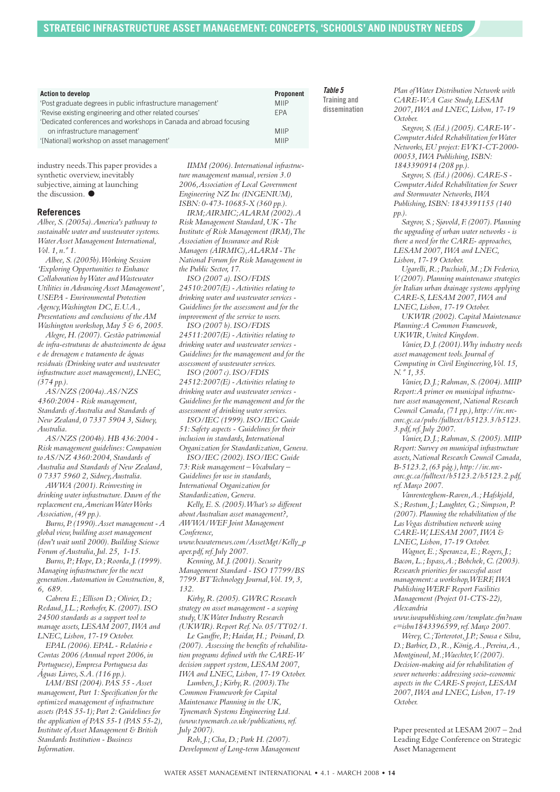| <b>Action to develop</b>                                           | Proponent   | Table 5       |
|--------------------------------------------------------------------|-------------|---------------|
| 'Post graduate degrees in public infrastructure management'        | <b>MIIP</b> | Training and  |
| 'Revise existing engineering and other related courses'            | <b>EPA</b>  | dissemination |
| 'Dedicated conferences and workshops in Canada and abroad focusing |             |               |
| on infrastructure management'                                      | <b>MIIP</b> |               |
| '[National] workshop on asset management'                          | <b>MIIP</b> |               |

industry needs.This paper provides a synthetic overview, inevitably subjective, aiming at launching the discussion. **●**

#### **References**

*Albee,S.(2005a).America's pathway to sustainable water and wastewater systems. WaterAsset Management International, Vol.1, n.º 1.*

*Albee,S.(2005b).Working Session 'Exploring Opportunities to Enhance Collaboration byWater andWastewater Utilities inAdvancingAsset Management', USEPA - Environmental Protection Agency,Washington DC,E.U.A., Presentations and conclusions of theAM Washington workshop,May 5 & 6,2005.*

*Alegre,H.(2007).Gestão patrimonial de infra-estruturas de abastecimento de água e de drenagem e tratamento de águas residuais (Drinking water and wastewater infrastructure asset management),LNEC, (374 pp.).*

*AS/NZS (2004a).AS/NZS 4360:2004 - Risk management, Standards ofAustralia and Standards of New Zealand,0 7337 5904 3,Sidney, Australia.*

*AS/NZS (2004b).HB 436:2004 - Risk management guidelines:Companion toAS/NZ 4360:2004,Standards of Australia and Standards of New Zealand, 0 7337 5960 2,Sidney,Australia.*

*AWWA (2001).Reinvesting in drinking water infrastructure.Dawn of the replacement era,AmericanWaterWorks Association,(49 pp.).*

*Burns,P.(1990).Asset management -A global view, building asset management (don't wait until 2000).Building Science Forum ofAustralia,Jul.25, 1-15.*

*Burns,P.;Hope,D.;Roorda,J.(1999). Managing infrastructure for the next generation.Automation in Construction,8, 6, 689.*

*Cabrera E.;Ellison D.;Olivier,D.; Redaud,J.L.;Rorhofer,K.(2007).ISO 24500 standards as a support tool to manage assets,LESAM 2007,IWA and LNEC,Lisbon,17-19 October.*

*EPAL (2006).EPAL - Relatório e Contas 2006 (Annual report 2006,in Portuguese),Empresa Portuguesa das Águas Livres,S.A.(116 pp.).*

*IAM/BSI (2004).PAS 55 -Asset management,Part 1:Specification for the optimized management of infrastructure assets (PAS 55-1);Part 2:Guidelines for the application of PAS 55-1 (PAS 55-2), Institute ofAsset Management & British Standards Institution - Business Information.*

*IIMM (2006).International infrastructure management manual, version 3.0 2006,Association of Local Government Engineering NZ Inc (INGENIUM), ISBN:0-473-10685-X (360 pp.). IRM;AIRMIC;ALARM (2002).A Risk Management Standard,UK -The Institute of Risk Management (IRM),The Association of Insurance and Risk Managers (AIRMIC),ALARM -The National Forum for Risk Management in the Public Sector,17.*

*ISO (2007 a).ISO/FDIS 24510:2007(E) -Activities relating to drinking water and wastewater services - Guidelines for the assessment and for the improvement of the service to users.*

*ISO (2007 b).ISO/FDIS 24511:2007(E) -Activities relating to drinking water and wastewater services - Guidelines for the management and for the assessment of wastewater services. ISO (2007 c).ISO/FDIS*

*24512:2007(E) -Activities relating to drinking water and wastewater services - Guidelines for the management and for the assessment of drinking water services.*

*ISO/IEC (1999).ISO/IEC Guide 51:Safety aspects - Guidelines for their inclusion in standards,International Organization for Standardization,Geneva.*

*ISO/IEC (2002).ISO/IEC Guide*

*73:Risk management –Vocabulary – Guidelines for use in standards, International Organization for Standardization,Geneva.*

*Kelly,E.S.(2005).What's so different aboutAustralian asset management?, AWWA/WEF Joint Management Conference,*

*www.bcwaternews.com/AssetMgt/Kelly\_p aper.pdf,ref.July 2007.*

*Kenning,M.J.(2001).Security Management Standard - ISO 17799/BS 7799.BTTechnology Journal,Vol.19,3, 132.*

*Kirby,R.(2005).GWRC Research strategy on asset management - a scoping study,UKWater Industry Research (UKWIR).Report Ref.No.05/TT02/1.*

*Le Gauffre,P.;Haidar,H.; Poinard,D. (2007). Assessing the benefits of rehabilitation programs defined with the CARE-W decision support system,LESAM 2007, IWA and LNEC,Lisbon,17-19 October.*

*Lumbers,J.;Kirby,R.(2003).The Common Framework for Capital Maintenance Planning in the UK, Tynemarch Systems Engineering Ltd. (www.tynemarch.co.uk/publications,ref. July 2007). Roh,J.;Cha,D.;Park H.(2007).*

*Development of Long-term Management*

*Plan ofWater Distribution Network with CARE-W:A Case Study,LESAM 2007,IWA and LNEC,Lisbon,17-19 October.*

*Sægrov,S.(Ed.) (2005).CARE-W - ComputerAided Rehabilitation forWater Networks,EU project:EVK1-CT-2000- 00053,IWA Publishing,ISBN: 1843390914 (208 pp.).*

*Sægrov,S.(Ed.) (2006).CARE-S - ComputerAided Rehabilitation for Sewer and Stormwater Networks,IWA Publishing,ISBN:1843391155 (140 pp.).*

*Sægrov,S.;Sjøvold,F.(2007).Planning the upgrading of urban water networks - is there a need for the CARE- approaches, LESAM 2007,IWA and LNEC, Lisbon,17-19 October.*

*Ugarelli,R.;Pacchioli,M.;Di Federico, V.(2007).Planning maintenance strategies for Italian urban drainage systems applying CARE-S,LESAM 2007,IWA and LNEC,Lisbon,17-19 October.*

*UKWIR (2002).Capital Maintenance Planning:A Common Framework, UKWIR,United Kingdom.*

*Vanier,D.J.(2001).Why industry needs asset management tools.Journal of Computing in Civil Engineering,Vol.15, N.º 1,35.*

*Vanier,D.J.;Rahman,S.(2004).MIIP Report:A primer on municipal infrastructure asset management,National Research Council Canada,(71 pp.), http://irc.nrccnrc.gc.ca/pubs/fulltext/b5123.3/b5123. 3.pdf,ref.July 2007.*

*Vanier,D.J.;Rahman,S.(2005).MIIP Report:Survey on municipal infrastructure assets,National Research Council Canada, B-5123.2,(63 pág.), http://irc.nrccnrc.gc.ca/fulltext/b5123.2/b5123.2.pdf, ref.Março 2007.*

*Vanrenterghem-Raven,A.;Hafskjold, S.;Rostum,J.;Laughter,G.;Simpson,P. (2007).Planning the rehabilitation of the LasVegas distribution network using CARE-W,LESAM 2007,IWA & LNEC,Lisbon,17-19 October.*

*Wagner,E.;Speranza,E.;Rogers,J.; Bacon,L.;Ispass,A.;Bobchek,C.(2003). Research priorities for successful asset management: a workshop,WERF,IWA PublishingWERF Report Facilities Management (Project 01-CTS-22), Alexandria*

*www.iwapublishing.com/template.cfm?nam e=isbn1843396599,ref.Março 2007.*

*Werey,C.;Torterotot,J.P.;Sousa e Silva, D.;Barbier,D.,R.,König,A.,Pereira,A., Montginoul,M.;Waechter,V.(2007). Decision-making aid for rehabilitation of sewer networks: addressing socio-economic aspects in the CARE-S project,LESAM 2007,IWA and LNEC,Lisbon,17-19 October.*

Paper presented at LESAM 2007 – 2nd Leading Edge Conference on Strategic Asset Management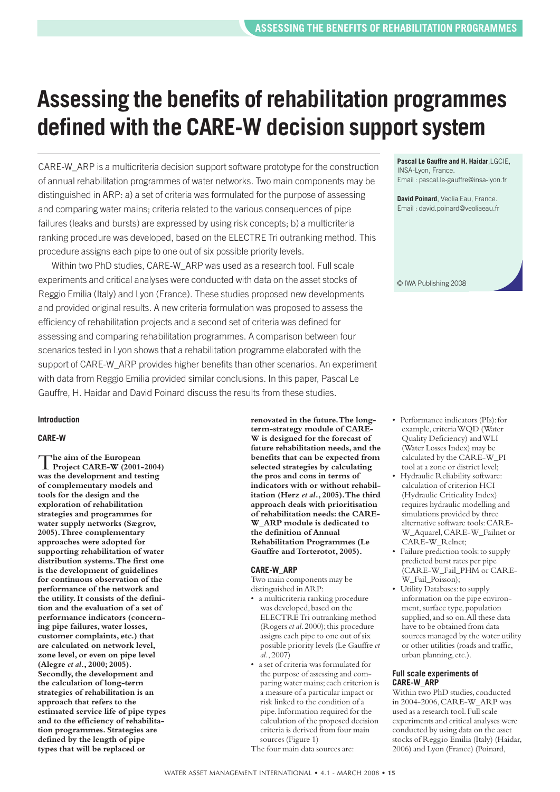# **Assessing the benefits of rehabilitation programmes defined with the CARE-W decision support system**

CARE-W\_ARP is a multicriteria decision support software prototype for the construction of annual rehabilitation programmes of water networks. Two main components may be distinguished in ARP: a) a set of criteria was formulated for the purpose of assessing and comparing water mains; criteria related to the various consequences of pipe failures (leaks and bursts) are expressed by using risk concepts; b) a multicriteria ranking procedure was developed, based on the ELECTRE Tri outranking method. This procedure assigns each pipe to one out of six possible priority levels.

Within two PhD studies, CARE-W\_ARP was used as a research tool. Full scale experiments and critical analyses were conducted with data on the asset stocks of Reggio Emilia (Italy) and Lyon (France). These studies proposed new developments and provided original results. A new criteria formulation was proposed to assess the efficiency of rehabilitation projects and a second set of criteria was defined for assessing and comparing rehabilitation programmes. A comparison between four scenarios tested in Lyon shows that a rehabilitation programme elaborated with the support of CARE-W\_ARP provides higher benefits than other scenarios. An experiment with data from Reggio Emilia provided similar conclusions. In this paper, Pascal Le Gauffre, H. Haidar and David Poinard discuss the results from these studies.

### **Introduction**

### **CARE-W**

T**he aim of the European Project CARE-W (2001-2004) was the development and testing of complementary models and tools for the design and the exploration of rehabilitation strategies and programmes for water supply networks (Sægrov, 2005).Three complementary approaches were adopted for supporting rehabilitation of water distribution systems.The first one is the development of guidelines for continuous observation of the performance of the network and the utility.It consists of the definition and the evaluation of a set of performance indicators (concerning pipe failures, water losses, customer complaints, etc.) that are calculated on network level, zone level, or even on pipe level (Alegre** *et al.***, 2000; 2005). Secondly,the development and the calculation of long-term strategies of rehabilitation is an approach that refers to the estimated service life of pipe types and to the efficiency of rehabilitation programmes. Strategies are defined by the length of pipe types that will be replaced or**

**renovated in the future.The longterm-strategy module of CARE-W is designed for the forecast of future rehabilitation needs, and the benefits that can be expected from selected strategies by calculating the pros and cons in terms of indicators with or without rehabilitation (Herz** *et al***., 2005).The third approach deals with prioritisation of rehabilitation needs:the CARE-W\_ARP module is dedicated to the definition of Annual Rehabilitation Programmes (Le Gauffre andTorterotot, 2005).**

#### **CARE-W\_ARP**

Two main components may be distinguished inARP:

- a multicriteria ranking procedure was developed, based on the ELECTRETri outranking method (Rogers *et al*.2000);this procedure assigns each pipe to one out of six possible priority levels (Le Gauffre *et al.*,2007)
- a set of criteria was formulated for the purpose of assessing and comparing water mains; each criterion is a measure of a particular impact or risk linked to the condition of a pipe.Information required for the calculation of the proposed decision criteria is derived from four main sources (Figure 1) The four main data sources are:

**Pascal Le Gauffre and H. Haidar**,LGCIE, INSA-Lyon, France. Email : pascal.le-gauffre@insa-lyon.fr

**David Poinard**, Veolia Eau, France. Email : david.poinard@veoliaeau.fr



- Performance indicators (PIs): for example, criteriaWQD (Water Quality Deficiency) andWLI (Water Losses Index) may be calculated by the CARE-W\_PI tool at a zone or district level;
- Hydraulic Reliability software: calculation of criterion HCI (Hydraulic Criticality Index) requires hydraulic modelling and simulations provided by three alternative software tools:CARE-W\_Aquarel,CARE-W\_Failnet or CARE-W\_Relnet:
- Failure prediction tools: to supply predicted burst rates per pipe (CARE-W\_Fail\_PHM or CARE-W\_Fail\_Poisson);
- Utility Databases: to supply information on the pipe environment, surface type,population supplied,and so on.All these data have to be obtained from data sources managed by the water utility or other utilities (roads and traffic, urban planning, etc.).

#### **Full scale experiments of CARE-W\_ARP**

Within two PhD studies, conducted in 2004-2006,CARE-W\_ARP was used as a research tool.Full scale experiments and critical analyses were conducted by using data on the asset stocks of Reggio Emilia (Italy) (Haidar, 2006) and Lyon (France) (Poinard,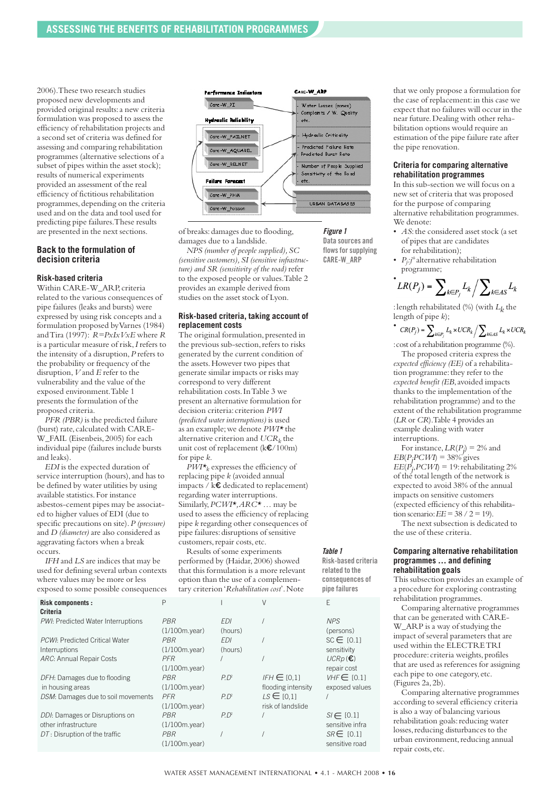2006).These two research studies proposed new developments and provided original results:a new criteria formulation was proposed to assess the efficiency of rehabilitation projects and a second set of criteria was defined for assessing and comparing rehabilitation programmes (alternative selections of a subset of pipes within the asset stock); results of numerical experiments provided an assessment of the real efficiency of fictitious rehabilitation programmes,depending on the criteria used and on the data and tool used for predicting pipe failures.These results are presented in the next sections.

#### **Back to the formulation of decision criteria**

#### **Risk-based criteria**

Within CARE-W\_ARP, criteria related to the various consequences of pipe failures (leaks and bursts) were expressed by using risk concepts and a formulation proposed byVarnes (1984) andTira (1997): *R=PxIxVxE* where *R* is a particular measure of risk,*I* refers to the intensity of a disruption,*P* refers to the probability or frequency of the disruption,*V* and *E* refer to the vulnerability and the value of the exposed environment.Table 1 presents the formulation of the proposed criteria.

*PFR (PBR)* is the predicted failure (burst) rate, calculated with CARE-W\_FAIL (Eisenbeis,2005) for each individual pipe (failures include bursts and leaks).

*EDI* is the expected duration of service interruption (hours), and has to be defined by water utilities by using available statistics.For instance asbestos-cement pipes may be associated to higher values of EDI (due to specific precautions on site).*P (pressure)* and *D (diameter)* are also considered as aggravating factors when a break occurs.

*IFH* and *LS* are indices that may be used for defining several urban contexts where values may be more or less exposed to some possible consequences



of breaks:damages due to flooding, damages due to a landslide.

*NPS (number of people supplied),SC (sensitive customers),SI (sensitive infrastructure) and SR (sensitivity of the road)* refer to the exposed people or values.Table 2 provides an example derived from studies on the asset stock of Lyon.

#### **Risk-based criteria, taking account of replacement costs**

The original formulation, presented in the previous sub-section, refers to risks generated by the current condition of the assets.However two pipes that generate similar impacts or risks may correspond to very different rehabilitation costs.InTable 3 we present an alternative formulation for decision criteria: criterion *PWI (predicted water interruptions)* is used as an example;we denote *PWI\** the alternative criterion and  $UCR<sub>k</sub>$  the unit cost of replacement (k€/100m) for pipe *k*.

 $\overrightarrow{PWI*}_k$  expresses the efficiency of replacing pipe *k* (avoided annual impacts / k€ dedicated to replacement) regarding water interruptions. Similarly,*PCWI\*,ARC\** … may be used to assess the efficiency of replacing pipe *k* regarding other consequences of pipe failures: disruptions of sensitive customers, repair costs, etc.

Results of some experiments performed by (Haidar,2006) showed that this formulation is a more relevant option than the use of a complementary criterion'*Rehabilitation cost*'.Note

*Table 1*

*Figure 1* **Data sources and** flows for supplying **CARE-W\_ARP**

**Risk-based criteria related to the consequences of pipe failures**

| <b>Risk components:</b>               | Ρ                |            |                    | F                |
|---------------------------------------|------------------|------------|--------------------|------------------|
| Criteria                              |                  |            |                    |                  |
| PWI: Predicted Water Interruptions    | <b>PBR</b>       | <b>FDI</b> |                    | <b>NPS</b>       |
|                                       | $(1/100m$ .year) | (hours)    |                    | (persons)        |
| <b>PCWI: Predicted Critical Water</b> | <b>PBR</b>       | <b>FDI</b> |                    | $SC \in [0.1]$   |
| Interruptions                         | $(1/100m$ .year) | (hours)    |                    | sensitivity      |
| ARC: Annual Repair Costs              | <b>PFR</b>       |            |                    | $UCRp(\epsilon)$ |
|                                       | $(1/100m$ .year) |            |                    | repair cost      |
| DFH: Damages due to flooding          | <b>PBR</b>       | $P.P^2$    | $IFH \in [0,1]$    | $VHF \in [0.1]$  |
| in housing areas                      | $(1/100m$ .year) |            | flooding intensity | exposed values   |
| DSM: Damages due to soil movements    | <b>PFR</b>       | $P.P^2$    | $LS \in [0.1]$     |                  |
|                                       | $(1/100m$ .year) |            | risk of landslide  |                  |
| DDI: Damages or Disruptions on        | <b>PBR</b>       | P.P        |                    | $SI \in [0.1]$   |
| other infrastructure                  | $(1/100m$ .year) |            |                    | sensitive infra  |
| $DT$ : Disruption of the traffic      | <b>PBR</b>       |            |                    | $SR \in$ [0.1]   |
|                                       | (1/100m.year)    |            |                    | sensitive road   |
|                                       |                  |            |                    |                  |

that we only propose a formulation for the case of replacement:in this case we expect that no failures will occur in the near future.Dealing with other rehabilitation options would require an estimation of the pipe failure rate after the pipe renovation.

#### **Criteria for comparing alternative rehabilitation programmes**

In this sub-section we will focus on a new set of criteria that was proposed for the purpose of comparing alternative rehabilitation programmes. We denote:

- *AS*:the considered asset stock (a set of pipes that are candidates for rehabilitation);
- *P<sub>j</sub>*:*j*<sup>*th*</sup> alternative rehabilitation programme;

$$
L R(P_j) = \sum\nolimits_{k \in P_j} L_k / \sum\nolimits_{k \in AS} L_k
$$

:length rehabilitated (%) (with *Lk* the length of pipe *k*);

•  $CR(P_j) = \sum_{k \in P_j} L_k \times UCR_k / \sum_{k \in AS} L_k \times UCR_k$ 

: cost of a rehabilitation programme (%).

The proposed criteria express the *expected efficiency (EE)* of a rehabilitation programme: they refer to the *expected benefit (EB*,avoided impacts thanks to the implementation of the rehabilitation programme) and to the extent of the rehabilitation programme (*LR* or *CR*). Table 4 provides an example dealing with water interruptions.

For instance,  $LR(P_j) = 2\%$  and  $EB(P_jPCWI) = 38\%$  gives  $EE(P_j, PCWI) = 19$ : rehabilitating 2% of the total length of the network is expected to avoid 38% of the annual impacts on sensitive customers (expected efficiency of this rehabilitation scenario:  $EE = 38 / 2 = 19$ .

The next subsection is dedicated to the use of these criteria.

#### **Comparing alternative rehabilitation programmes … and defining rehabilitation goals**

This subsection provides an example of a procedure for exploring contrasting rehabilitation programmes.

Comparing alternative programmes that can be generated with CARE-W<sub>ARP</sub> is a way of studying the impact of several parameters that are used within the ELECTRETRI procedure: criteria weights, profiles that are used as references for assigning each pipe to one category, etc. (Figures 2a,2b).

Comparing alternative programmes according to several efficiency criteria is also a way of balancing various rehabilitation goals: reducing water losses, reducing disturbances to the urban environment, reducing annual repair costs, etc.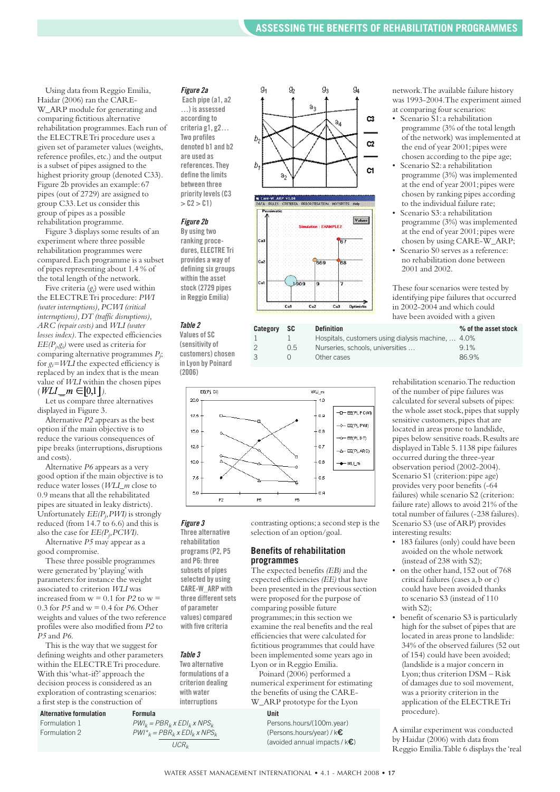Using data from Reggio Emilia, Haidar (2006) ran the CARE-W\_ARP module for generating and comparing fictitious alternative rehabilitation programmes.Each run of the ELECTRETri procedure uses a given set of parameter values (weights, reference profiles, etc.) and the output is a subset of pipes assigned to the highest priority group (denoted C33). Figure 2b provides an example:67 pipes (out of 2729) are assigned to group C33.Let us consider this group of pipes as a possible rehabilitation programme.

Figure 3 displays some results of an experiment where three possible rehabilitation programmes were compared.Each programme is a subset of pipes representing about 1.4 % of the total length of the network.

Five criteria (*gi* ) were used within the ELECTRETri procedure: *PWI (water interruptions),PCWI (critical interruptions),DT (traffic disruptions), ARC (repair costs)* and *WLI (water losses index).*The expected efficiencies  $EE(P_j, g_i)$  were used as criteria for comparing alternative programmes *Pj* ; for  $g_i = WLI$  the expected efficiency is replaced by an index that is the mean value of *WLI* within the chosen pipes  $(WLI_{m}m \in ]0,1]$ .

Let us compare three alternatives displayed in Figure 3.

Alternative *P2* appears as the best option if the main objective is to reduce the various consequences of pipe breaks (interruptions, disruptions and costs).

Alternative *P6* appears as a very good option if the main objective is to reduce water losses (*WLI\_m* close to 0.9 means that all the rehabilitated pipes are situated in leaky districts). Unfortunately  $EE(P_j, PWI)$  is strongly reduced (from 14.7 to 6.6) and this is also the case for  $EE(P_j, PCWI)$ . Alternative *P5* may appear as a

good compromise.

These three possible programmes were generated by 'playing'with parameters: for instance the weight associated to criterion *WLI* was increased from  $w = 0.1$  for  $P2$  to  $w =$ 0.3 for *P5* and w = 0.4 for *P6*.Other weights and values of the two reference profiles were also modified from *P2* to *P5* and *P6*.

This is the way that we suggest for defining weights and other parameters within the ELECTRETri procedure. With this'what-if?'approach the decision process is considered as an exploration of contrasting scenarios: a first step is the construction of

**Alternative formulation Formula Unit** Formulation 1  $PWI_k = PBR_k \times EDI_k \times NPS_k$  Persons.hours/(100m.year)<br>Formulation 2  $PWI^* = PBR_k \times FDI_k \times NPS_k$  (Persons hours/year) / k

#### *Figure 2a*

**Each pipe (a1, a2 …) is assessed according to criteria g1, g2… Two profiles denoted b1 and b2 are used as references.They define the limits between three prioritylevels(C3**  $>$  **C**2 $>$  **C**1)

#### *Figure 2b*

**By using two ranking procedures, ELECTRE Tri provides a way of defining six groups within the asset stock (2729 pipes in Reggio Emilia)**

#### *Table 2*

**Values of SC (sensitivity of customers) chosen in Lyon by Poinard (2006)**





contrasting options;a second step is the

The expected benefits *(EB)* and the expected efficiencies *(EE)* that have been presented in the previous section were proposed for the purpose of comparing possible future programmes;in this section we examine the real benefits and the real efficiencies that were calculated for fictitious programmes that could have been implemented some years ago in

selection of an option/goal. **Benefits of rehabilitation**

Lyon or in Reggio Emilia. Poinard (2006) performed a numerical experiment for estimating the benefits of using the CARE-W\_ARP prototype for the Lyon

**programmes**



#### *Figure 3*

**Three alternative rehabilitation programs(P2, P5 and P6: three subsets of pipes selected by using CARE-W\_ARP with three differentsets of parameter values) compared with five criteria**

#### *Table 3*

 $PWI^*_{k} = PBR_{k}$  *x*  $EDI_{k}$  *x*  $NPS_{k}$ 

**Two alternative formulations of a criterion dealing with water interruptions**

 $\overline{UCR_k}$  (avoided annual impacts / k**€**)

network.The available failure history was 1993-2004.The experiment aimed at comparing four scenarios:

- Scenario S1:a rehabilitation programme (3% of the total length of the network) was implemented at the end of year 2001; pipes were chosen according to the pipe age;
- Scenario S2: a rehabilitation programme (3%) was implemented at the end of year 2001; pipes were chosen by ranking pipes according to the individual failure rate;
- Scenario S3:a rehabilitation programme (3%) was implemented at the end of year 2001; pipes were chosen by using CARE-W\_ARP;
- Scenario S0 serves as a reference: no rehabilitation done between 2001 and 2002.

These four scenarios were tested by identifying pipe failures that occurred in 2002-2004 and which could have been avoided with a given

| Category | - SC | <b>Definition</b>                                  | % of the asset stock |
|----------|------|----------------------------------------------------|----------------------|
|          |      | Hospitals, customers using dialysis machine,  4.0% |                      |
|          | 0.5  | Nurseries, schools, universities                   | 91%                  |
|          |      | Other cases                                        | 86.9%                |

rehabilitation scenario.The reduction of the number of pipe failures was calculated for several subsets of pipes: the whole asset stock, pipes that supply sensitive customers, pipes that are located in areas prone to landslide, pipes below sensitive roads.Results are displayed inTable 5.1138 pipe failures occurred during the three-year observation period (2002-2004). Scenario S1 (criterion: pipe age) provides very poor benefits (-64 failures) while scenario S2 (criterion: failure rate) allows to avoid 21% of the total number of failures (-238 failures). Scenario S3 (use ofARP) provides interesting results:

- 183 failures (only) could have been avoided on the whole network (instead of 238 with S2);
- on the other hand, 152 out of 768 critical failures (cases a, b or c) could have been avoided thanks to scenario S3 (instead of 110 with S2);
- benefit of scenario S3 is particularly high for the subset of pipes that are located in areas prone to landslide: 34% of the observed failures (52 out of 154) could have been avoided; (landslide is a major concern in Lyon;thus criterion DSM – Risk of damages due to soil movement, was a priority criterion in the application of the ELECTRETri procedure).

A similar experiment was conducted by Haidar (2006) with data from Reggio Emilia.Table 6 displays the 'real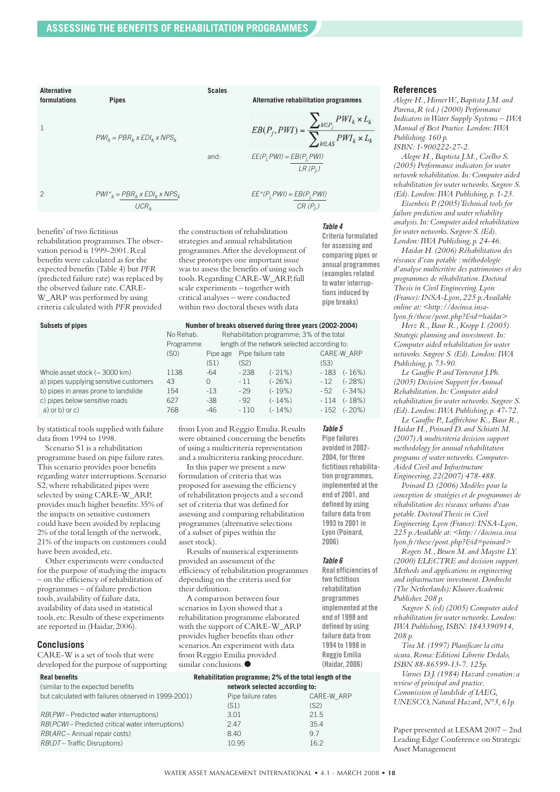

benefits'of two fictitious rehabilitation programmes.The observation period is 1999-2001.Real benefits were calculated as for the expected benefits (Table 4) but *PFR* (predicted failure rate) was replaced by the observed failure rate.CARE-W\_ARP was performed by using criteria calculated with *PFR* provided

the construction of rehabilitation strategies and annual rehabilitation programmes.After the development of these prototypes one important issue was to assess the benefits of using such tools.Regarding CARE-W\_ARP,full scale experiments – together with critical analyses – were conducted within two doctoral theses with data

*Table 4* **Criteria formulated for assessing and comparing pipes or annual programmes (examplesrelated to water interruptionsinduced by pipe breaks)**

*Table 5* **Pipe failures avoided in 2002- 2004, for three** fictitious rehabilita**tion programmes, implemented at the end of 2001, and defined by using failure data from 1993 to 2001 in Lyon (Poinard, 2006)**

*Table 6*

**Real efficiencies of two fictitious rehabilitation programmes implemented at the end of 1998 and defined by using failure data from 1994 to 1998 in Reggio Emilia (Haidar, 2006)**

#### **Subsets of pipes Number of breaks observed during three years (2002-2004)** No Rehab. Rehabilitation programme; 3% of the total Programme length of the network selected according to: (S0) Pipe age Pipe failure rate CARE-W\_ARP (S1) (S2) (S3) Whole asset stock (~ 3000 km) 1138 -64 - 238 (- 21%) - 183 (- 16%) a) pipes supplying sensitive customers  $43$  0 - 11 (-26%) - 12 (-28%) b) pipes in areas prone to landslide 154 -13 - 29 (- 19%) - 52 (- 34%) c) pipes below sensitive roads 627 -38 - 92 (- 14%) - 114 (- 18%) a) or b) or c) 768 -46 - 110 (- 14%) - 152 (- 20%)

by statistical tools supplied with failure data from 1994 to 1998.

Scenario S1 is a rehabilitation programme based on pipe failure rates. This scenario provides poor benefits regarding water interruptions. Scenario S2,where rehabilitated pipes were selected by using CARE-W\_ARP, provides much higher benefits:35% of the impacts on sensitive customers could have been avoided by replacing 2% of the total length of the network, 21% of the impacts on customers could have been avoided, etc.

Other experiments were conducted for the purpose of studying the impacts – on the efficiency of rehabilitation of programmes – of failure prediction tools,availability of failure data, availability of data used in statistical tools, etc.Results of these experiments are reported in (Haidar,2006).

#### **Conclusions**

CARE-W is a set of tools that were developed for the purpose of supporting

 $\epsilon$  (similar to the expected benefits but calculated with failures ob

*RB*(*PWI* – Predicted water int *RB*(*PCWI* – Predicted critical *RB*(*ARC* – Annual repair cost *RB*(*DT* – Traffic Disruptions)

from Lyon and Reggio Emilia.Results were obtained concerning the benefits of using a multicriteria representation and a multicriteria ranking procedure.

In this paper we present a new formulation of criteria that was proposed for assessing the efficiency of rehabilitation projects and a second set of criteria that was defined for assessing and comparing rehabilitation programmes (alternative selections of a subset of pipes within the asset stock).

Results of numerical experiments provided an assessment of the efficiency of rehabilitation programmes depending on the criteria used for their definition.

A comparison between four scenarios in Lyon showed that a rehabilitation programme elaborated with the support of CARE-W\_ARP provides higher benefits than other scenarios.An experiment with data from Reggio Emilia provided similar conclusions.**●**

| Real benefits                     | Rehabilitation programme; 2% of the total length of the |
|-----------------------------------|---------------------------------------------------------|
| (similar to the expected benefits | network selected according to:                          |

| )served in 1999-2001) | Pipe failure rates | CARE-W ARP |
|-----------------------|--------------------|------------|
|                       | (S1)               | (S2)       |
| erruptions)           | 3.01               | 21.5       |
| water interruptions)  | 2.47               | 35.4       |
| s)                    | 8.40               | 97         |
|                       | 10.95              | 16.2       |
|                       |                    |            |

#### **References**

*Alegre H.,HirnerW.,Baptista J.M. and Parena,R (ed.) (2000) Performance Indicators inWater Supply Systems – IWA Manual of Best Practice.London:IWA Publishing.160 p. ISBN:1-900222-27-2.*

*Alegre H.,Baptista J.M.,Coelho S. (2005) Performance indicators for water network rehabilitation.In:Computer aided rehabilitation for water networks.Sægrov S. (Ed).London:IWA Publishing, p.1-23.*

*Eisenbeis P.(2005)Technical tools for failure prediction and water reliability analysis.In:Computer aided rehabilitation for water networks.Sægrov S.(Ed). London:IWA Publishing, p.24-46.*

*Haidar H.(2006) Réhabilitation des réseaux d'eau potable :méthodologie d'analyse multicritère des patrimoines et des programmes de réhabilitation.Doctoral Thesis in Civil Engineering.Lyon (France):INSA-Lyon,225 p.Available online at:<http://docinsa.insalyon.fr/these/pont.php?&id=haidar>*

*Herz R.,Baur R.,Kropp I.(2005) Strategic planning and investment.In: Computer aided rehabilitation for water networks.Sægrov S.(Ed).London:IWA Publishing, p.73-90.*

*Le Gauffre P. andTorterotot J.Ph. (2005) Decision Support forAnnual Rehabilitation.In:Computer aided rehabilitation for water networks.Sægrov S. (Ed).London:IWA Publishing, p.47-72.*

*Le Gauffre P.,Laffréchine K.,Baur R., Haidar H.,Poinard D. and Schiatti M. (2007)A multicriteria decision support methodology for annual rehabilitation programs of water networks.Computer-Aided Civil and Infrastructure Engineering,22(2007) 478-488.*

*Poinard D.(2006) Modèles pour la conception de stratégies et de programmes de réhabilitation des réseaux urbains d'eau potable.DoctoralThesis in Civil Engineering.Lyon (France):INSA-Lyon, 225 p.Available at:<http://docinsa.insa lyon.fr/these/pont.php?&id=poinard>*

*Rogers M.,Bruen M. and Maystre LY. (2000) ELECTRE and decision support. Methods and applications in engineering and infrastructure investment.Dordrecht (The Netherlands):KluwerAcademic Publisher.208 p.*

*Sægrov S.(ed) (2005) Computer aided rehabilitation for water networks.London: IWA Publishing,ISBN:1843390914, 208 p.*

*Tira M.(1997) Planificare la citta sicura.Roma:Editioni Librerie Dedalo, ISBN 88-86599-13-7.125p.*

*Varnes D.J.(1984) Hazard zonation: a review of principal and practice. Commission of landslide of IAEG, UNESCO, Natural Hazard, N°3, 61p.* 

Paper presented at LESAM 2007 – 2nd Leading Edge Conference on Strategic Asset Management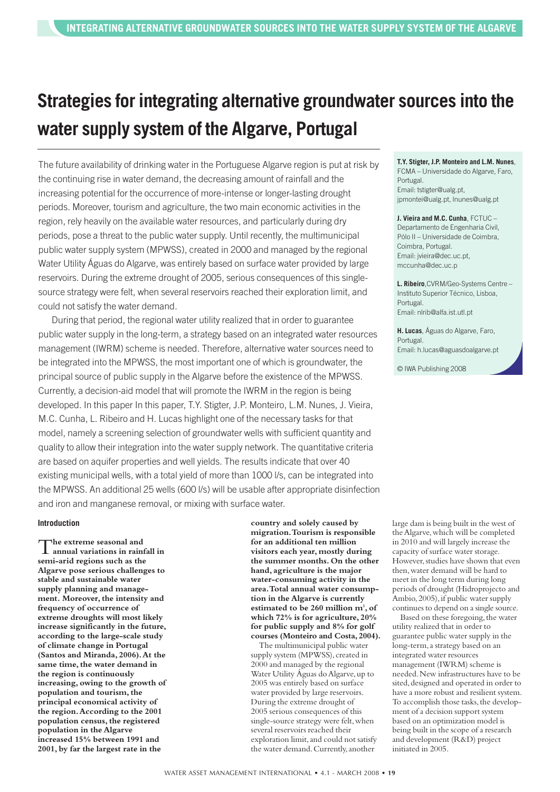## **Strategies for integrating alternative groundwater sources into the water supply system of the Algarve, Portugal**

The future availability of drinking water in the Portuguese Algarve region is put at risk by the continuing rise in water demand, the decreasing amount of rainfall and the increasing potential for the occurrence of more-intense or longer-lasting drought periods. Moreover, tourism and agriculture, the two main economic activities in the region, rely heavily on the available water resources, and particularly during dry periods, pose a threat to the public water supply. Until recently, the multimunicipal public water supply system (MPWSS), created in 2000 and managed by the regional Water Utility Águas do Algarve, was entirely based on surface water provided by large reservoirs. During the extreme drought of 2005, serious consequences of this singlesource strategy were felt, when several reservoirs reached their exploration limit, and could not satisfy the water demand.

During that period, the regional water utility realized that in order to guarantee public water supply in the long-term, a strategy based on an integrated water resources management (IWRM) scheme is needed. Therefore, alternative water sources need to be integrated into the MPWSS, the most important one of which is groundwater, the principal source of public supply in the Algarve before the existence of the MPWSS. Currently, a decision-aid model that will promote the IWRM in the region is being developed. In this paper In this paper, T.Y. Stigter, J.P. Monteiro, L.M. Nunes, J. Vieira, M.C. Cunha, L. Ribeiro and H. Lucas highlight one of the necessary tasks for that model, namely a screening selection of groundwater wells with sufficient quantity and quality to allow their integration into the water supply network. The quantitative criteria are based on aquifer properties and well yields. The results indicate that over 40 existing municipal wells, with a total yield of more than 1000 l/s, can be integrated into the MPWSS. An additional 25 wells (600 l/s) will be usable after appropriate disinfection and iron and manganese removal, or mixing with surface water.

#### **Introduction**

T**he extreme seasonal and annual variations in rainfall in semi-arid regions such as the Algarve pose serious challenges to stable and sustainable water supply planning and management. Moreover,the intensity and frequency of occurrence of extreme droughts will most likely increase significantly in the future, according to the large-scale study of climate change in Portugal (Santos and Miranda, 2006).At the same time,the water demand in the region is continuously increasing, owing to the growth of population and tourism,the principal economical activity of the region.According to the 2001 population census,the registered population in the Algarve increased 15% between 1991 and 2001, by far the largest rate in the**

**country and solely caused by migration.Tourism is responsible for an additional ten million visitors each year, mostly during the summer months. On the other hand, agriculture is the major water-consuming activity in the area.Total annual water consumption in the Algarve is currently estimated to be 260 million m3 , of which 72% is for agriculture, 20% for public supply and 8% for golf courses (Monteiro and Costa, 2004).**

The multimunicipal public water supply system (MPWSS), created in 2000 and managed by the regional Water Utility Águas do Algarve, up to 2005 was entirely based on surface water provided by large reservoirs. During the extreme drought of 2005 serious consequences of this single-source strategy were felt, when several reservoirs reached their exploration limit, and could not satisfy the water demand. Currently, another

**T.Y. Stigter, J.P. Monteiro and L.M. Nunes**, FCMA – Universidade do Algarve, Faro, Portugal. Email: tstigter@ualg.pt, jpmontei@ualg.pt, lnunes@ualg.pt

**J. Vieira and M.C. Cunha**, FCTUC – Departamento de Engenharia Civil, Pólo II – Universidade de Coimbra, Coimbra, Portugal. Email: jvieira@dec.uc.pt, mccunha@dec.uc.p

**L. Ribeiro**,CVRM/Geo-Systems Centre – Instituto Superior Técnico, Lisboa, Portugal. Email: nlrib@alfa.ist.utl.pt

**H. Lucas**, Águas do Algarve, Faro, Portugal. Email: h.lucas@aguasdoalgarve.pt

© IWA Publishing 2008

large dam is being built in the west of theAlgarve,which will be completed in 2010 and will largely increase the capacity of surface water storage. However, studies have shown that even then,water demand will be hard to meet in the long term during long periods of drought (Hidroprojecto and Ambio, 2005), if public water supply continues to depend on a single source.

Based on these foregoing, the water utility realized that in order to guarantee public water supply in the long-term,a strategy based on an integrated water resources management (IWRM) scheme is needed.New infrastructures have to be sited, designed and operated in order to have a more robust and resilient system. To accomplish those tasks, the development of a decision support system based on an optimization model is being built in the scope of a research and development (R&D) project initiated in 2005.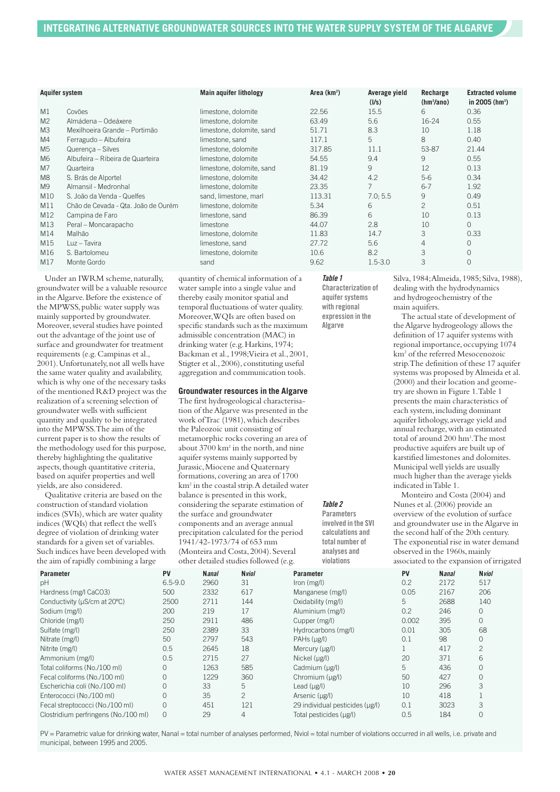| <b>Aquifer system</b> |                                     | <b>Main aquifer lithology</b> | Area $(km^2)$ | Average yield<br>(1/s) | Recharge<br>(hm <sup>3</sup> /ano) | <b>Extracted volume</b><br>in 2005 ( $hm^3$ ) |
|-----------------------|-------------------------------------|-------------------------------|---------------|------------------------|------------------------------------|-----------------------------------------------|
| M <sub>1</sub>        | Covões                              | limestone, dolomite           | 22.56         | 15.5                   | 6                                  | 0.36                                          |
| M <sup>2</sup>        | Almádena – Odeáxere                 | limestone, dolomite           | 63.49         | 5.6                    | 16-24                              | 0.55                                          |
| M <sub>3</sub>        | Mexilhoeira Grande - Portimão       | limestone, dolomite, sand     | 51.71         | 8.3                    | 10                                 | 1.18                                          |
| M4                    | Ferragudo - Albufeira               | limestone, sand               | 117.1         | 5                      | 8                                  | 0.40                                          |
| M <sub>5</sub>        | Querença - Silves                   | limestone, dolomite           | 317.85        | 11.1                   | 53-87                              | 21.44                                         |
| M <sub>6</sub>        | Albufeira – Ribeira de Quarteira    | limestone, dolomite           | 54.55         | 9.4                    | 9                                  | 0.55                                          |
| M <sub>7</sub>        | Quarteira                           | limestone, dolomite, sand     | 81.19         | 9                      | 12                                 | 0.13                                          |
| M <sub>8</sub>        | S. Brás de Alportel                 | limestone, dolomite           | 34.42         | 4.2                    | $5-6$                              | 0.34                                          |
| M <sub>9</sub>        | Almansil - Medronhal                | limestone, dolomite           | 23.35         | 7                      | $6 - 7$                            | 1.92                                          |
| M10                   | S. João da Venda - Quelfes          | sand, limestone, marl         | 113.31        | 7.0; 5.5               | 9                                  | 0.49                                          |
| M11                   | Chão de Cevada - Qta. João de Ourém | limestone, dolomite           | 5.34          | 6                      | $\overline{2}$                     | 0.51                                          |
| M12                   | Campina de Faro                     | limestone, sand               | 86.39         | 6                      | 10                                 | 0.13                                          |
| M13                   | Peral - Moncarapacho                | limestone                     | 44.07         | 2.8                    | 10                                 | $\Omega$                                      |
| M14                   | Malhão                              | limestone, dolomite           | 11.83         | 14.7                   | 3                                  | 0.33                                          |
| M15                   | Luz - Tavira                        | limestone, sand               | 27.72         | 5.6                    | 4                                  | $\Omega$                                      |
| M16                   | S. Bartolomeu                       | limestone, dolomite           | 10.6          | 8.2                    | 3                                  | $\Omega$                                      |
| M17                   | Monte Gordo                         | sand                          | 9.62          | $1.5 - 3.0$            | 3                                  | $\Omega$                                      |

Under an IWRM scheme, naturally, groundwater will be a valuable resource in theAlgarve.Before the existence of the MPWSS, public water supply was mainly supported by groundwater. Moreover, several studies have pointed out the advantage of the joint use of surface and groundwater for treatment requirements (e.g.Campinas et al., 2001).Unfortunately,not all wells have the same water quality and availability, which is why one of the necessary tasks of the mentioned R&D project was the realization of a screening selection of groundwater wells with sufficient quantity and quality to be integrated into the MPWSS.The aim of the current paper is to show the results of the methodology used for this purpose, thereby highlighting the qualitative aspects, though quantitative criteria, based on aquifer properties and well yields,are also considered.

Qualitative criteria are based on the construction of standard violation indices (SVIs), which are water quality indices (WQIs) that reflect the well's degree of violation of drinking water standards for a given set of variables. Such indices have been developed with the aim of rapidly combining a large

quantity of chemical information of a water sample into a single value and thereby easily monitor spatial and temporal fluctuations of water quality. Moreover,WQIs are often based on specific standards such as the maximum admissible concentration (MAC) in drinking water (e.g.Harkins,1974; Backman et al.,1998;Vieira et al.,2001, Stigter et al.,2006), constituting useful aggregation and communication tools.

#### **Groundwater resources in the Algarve**

The first hydrogeological characterisation of theAlgarve was presented in the work of Trac (1981), which describes the Paleozoic unit consisting of metamorphic rocks covering an area of about 3700 km<sup>2</sup> in the north, and nine aquifer systems mainly supported by Jurassic,Miocene and Quaternary formations, covering an area of 1700 km2 in the coastal strip.A detailed water balance is presented in this work, considering the separate estimation of the surface and groundwater components and an average annual precipitation calculated for the period  $1941/42 - 1973/74$  of 653 mm (Monteira and Costa, 2004). Several other detailed studies followed (e.g.

#### *Table 1*

*Table 2* **Parameters involved in the SVI calculations and total number of analyses and violations**

**Characterization of aquifersystems with regional expression in the Algarve**

Silva, 1984; Almeida, 1985; Silva, 1988), dealing with the hydrodynamics and hydrogeochemistry of the main aquifers.

The actual state of development of theAlgarve hydrogeology allows the definition of 17 aquifer systems with regional importance, occupying 1074 km2 of the referred Mesocenozoic strip.The definition of these 17 aquifer systems was proposed byAlmeida et al. (2000) and their location and geometry are shown in Figure 1.Table 1 presents the main characteristics of each system, including dominant aquifer lithology,average yield and annual recharge, with an estimated total of around 200 hm<sup>3</sup>. The most productive aquifers are built up of karstified limestones and dolomites. Municipal well yields are usually much higher than the average yields indicated inTable 1.

Monteiro and Costa (2004) and Nunes et al.(2006) provide an overview of the evolution of surface and groundwater use in theAlgarve in the second half of the 20th century. The exponential rise in water demand observed in the 1960s,mainly associated to the expansion of irrigated

| Parameter                            | PV           | <b>Nanal</b> | <b>N</b> viol  | <b>Parameter</b>                | PV    | <b>Nanal</b> | <b>N</b> viol  |
|--------------------------------------|--------------|--------------|----------------|---------------------------------|-------|--------------|----------------|
| рH                                   | $6.5 - 9.0$  | 2960         | 31             | lron(mg/l)                      | 0.2   | 2172         | 517            |
| Hardness (mg/l CaCO3)                | 500          | 2332         | 617            | Manganese (mg/l)                | 0.05  | 2167         | 206            |
| Conductivity (µS/cm at 20°C)         | 2500         | 2711         | 144            | Oxidability (mg/l)              | 5     | 2688         | 140            |
| Sodium (mg/l)                        | 200          | 219          | 17             | Aluminium (mg/l)                | 0.2   | 246          | $\mathbf{0}$   |
| Chloride (mg/l)                      | 250          | 2911         | 486            | Cupper (mg/l)                   | 0.002 | 395          | $\mathbf{0}$   |
| Sulfate (mg/l)                       | 250          | 2389         | 33             | Hydrocarbons (mg/l)             | 0.01  | 305          | 68             |
| Nitrate (mg/l)                       | 50           | 2797         | 543            | PAHs (µg/l)                     | 0.1   | 98           | $\Omega$       |
| Nitrite (mg/l)                       | 0.5          | 2645         | 18             | Mercury (µg/l)                  |       | 417          | $\mathfrak{p}$ |
| Ammonium (mg/l)                      | 0.5          | 2715         | 27             | Nickel (µg/l)                   | 20    | 371          | 6              |
| Total coliforms (No./100 ml)         | $\mathbf{O}$ | 1263         | 585            | Cadmium (µg/l)                  | 5     | 436          | $\Omega$       |
| Fecal coliforms (No./100 ml)         | $\circ$      | 1229         | 360            | Chromium (µg/l)                 | 50    | 427          | $\Omega$       |
| Escherichia coli (No./100 ml)        | $\mathbf{O}$ | 33           | 5              | Lead $(\mu$ g/l)                | 10    | 296          | 3              |
| Enterococci (No./100 ml)             | $\Omega$     | 35           | $\overline{2}$ | Arsenic (µg/l)                  | 10    | 418          |                |
| Fecal streptococci (No./100 ml)      | $\mathbf{0}$ | 451          | 121            | 29 individual pesticides (ug/l) | 0.1   | 3023         | 3              |
| Clostridium perfringens (No./100 ml) | $\circ$      | 29           | 4              | Total pesticides (µg/l)         | 0.5   | 184          | $\Omega$       |
|                                      |              |              |                |                                 |       |              |                |

PV = Parametric value for drinking water, Nanal = total number of analyses performed, Nviol = total number of violations occurred in all wells, i.e. private and municipal, between 1995 and 2005.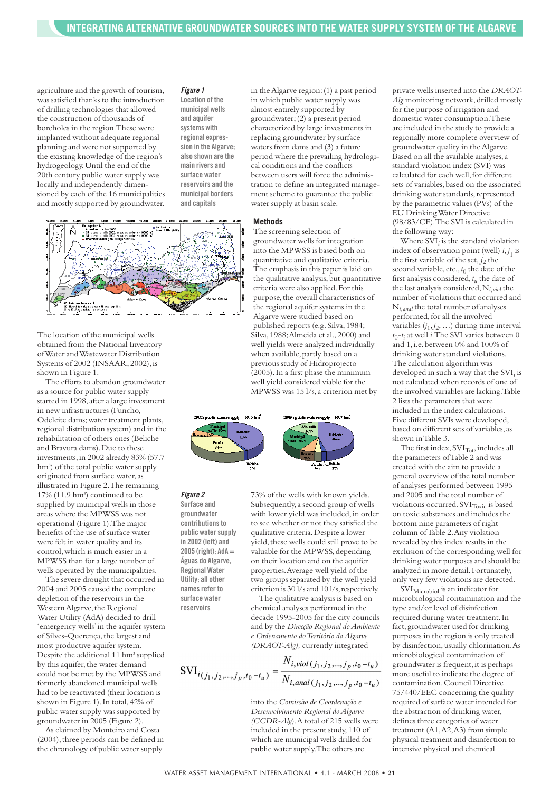agriculture and the growth of tourism, was satisfied thanks to the introduction of drilling technologies that allowed the construction of thousands of boreholes in the region.These were implanted without adequate regional planning and were not supported by the existing knowledge of the region's hydrogeology.Until the end of the 20th century public water supply was locally and independently dimensioned by each of the 16 municipalities and mostly supported by groundwater.

#### *Figure 1*

**Location of the municipal wells and aquifer systems with regional expression in the Algarve; also shown are the main rivers and surface water reservoirs and the municipal borders and capitals**



The location of the municipal wells obtained from the National Inventory ofWater andWastewater Distribution Systems of 2002 (INSAAR, 2002), is shown in Figure 1.

The efforts to abandon groundwater as a source for public water supply started in 1998, after a large investment in new infrastructures (Funcho, Odeleite dams;water treatment plants, regional distribution system) and in the rehabilitation of others ones (Beliche and Bravura dams).Due to these investments,in 2002 already 83% (57.7 hm<sup>3</sup>) of the total public water supply originated from surface water,as illustrated in Figure 2.The remaining  $17\%$  (11.9 hm<sup>3</sup>) continued to be supplied by municipal wells in those areas where the MPWSS was not operational (Figure 1).The major benefits of the use of surface water were felt in water quality and its control,which is much easier in a MPWSS than for a large number of wells operated by the municipalities.

The severe drought that occurred in 2004 and 2005 caused the complete depletion of the reservoirs in the Western Algarve, the Regional Water Utility (AdA) decided to drill 'emergency wells'in the aquifer system of Silves-Querença,the largest and most productive aquifer system. Despite the additional 11 hm<sup>3</sup> supplied by this aquifer, the water demand could not be met by the MPWSS and formerly abandoned municipal wells had to be reactivated (their location is shown in Figure 1).In total,42% of public water supply was supported by groundwater in 2005 (Figure 2).

As claimed by Monteiro and Costa (2004), three periods can be defined in the chronology of public water supply

in theAlgarve region:(1) a past period in which public water supply was almost entirely supported by groundwater;(2) a present period characterized by large investments in replacing groundwater by surface waters from dams and (3) a future period where the prevailing hydrological conditions and the conflicts between users will force the administration to define an integrated management scheme to guarantee the public water supply at basin scale.

#### **Methods**

The screening selection of groundwater wells for integration into the MPWSS is based both on quantitative and qualitative criteria. The emphasis in this paper is laid on the qualitative analysis, but quantitative criteria were also applied.For this purpose, the overall characteristics of the regional aquifer systems in the Algarve were studied based on published reports (e.g.Silva,1984; Silva,1988;Almeida et al.,2000) and well yields were analyzed individually when available, partly based on a previous study of Hidroprojecto (2005).In a first phase the minimum well yield considered viable for the MPWSS was 15 l/s,a criterion met by



**Surface and groundwater contributionsto public watersupply in 2002 (left) and 2005 (right); AdA = Águas do Algarve, Regional Water Utility; all other namesrefer to surface water reservoirs**

*Figure 2*

73% of the wells with known yields. Subsequently,a second group of wells with lower yield was included, in order to see whether or not they satisfied the qualitative criteria.Despite a lower yield, these wells could still prove to be valuable for the MPWSS, depending on their location and on the aquifer properties.Average well yield of the two groups separated by the well yield criterion is 30 l/s and 10 l/s, respectively.

The qualitative analysis is based on chemical analyses performed in the decade 1995-2005 for the city councils and by the *Direcção Regional doAmbiente e Ordenamento doTerritório doAlgarve (DRAOT-Alg),* currently integrated

$$
SVI_{i(j_1, j_2, \dots, j_p, t_0 - t_u)} = \frac{N_{i, viol(j_1, j_2, \dots, j_p, t_0 - t_u)}}{N_{i, anal(j_1, j_2, \dots, j_p, t_0 - t_u)}}
$$

into the *Comissão de Coordenação e Desenvolvimento Regional doAlgarve (CCDR-Alg*).A total of 215 wells were included in the present study,110 of which are municipal wells drilled for public water supply.The others are

private wells inserted into the *DRAOT-Alg* monitoring network, drilled mostly for the purpose of irrigation and domestic water consumption.These are included in the study to provide a regionally more complete overview of groundwater quality in theAlgarve. Based on all the available analyses,a standard violation index (SVI) was calculated for each well,for different sets of variables, based on the associated drinking water standards, represented by the parametric values (PVs) of the EU DrinkingWater Directive (98/83/CE).The SVI is calculated in the following way:

Where SVI*<sup>i</sup>* is the standard violation index of observation point (well)  $i, j_1$  is the first variable of the set,  $j_2$  the second variable, etc.,  $t_0$  the date of the first analysis considered,*tu* the date of the last analysis considered,N*i,viol* the number of violations that occurred and N*i,anal* the total number of analyses performed, for all the involved variables (*j*1,*j*2,…) during time interval *t*0-*ti* at well *i*.The SVI varies between 0 and 1,i.e.between 0% and 100% of drinking water standard violations. The calculation algorithm was developed in such a way that the SVI*<sup>i</sup>* is not calculated when records of one of the involved variables are lacking.Table 2 lists the parameters that were included in the index calculations. Five different SVIs were developed, based on different sets of variables,as shown inTable 3.

The first index, SVI<sub>Tot</sub>, includes all the parameters ofTable 2 and was created with the aim to provide a general overview of the total number of analyses performed between 1995 and 2005 and the total number of violations occurred. SVIToxic is based on toxic substances and includes the bottom nine parameters of right column ofTable 2.Any violation revealed by this index results in the exclusion of the corresponding well for drinking water purposes and should be analyzed in more detail.Fortunately, only very few violations are detected.

SVI<sub>Microbiol</sub> is an indicator for microbiological contamination and the type and/or level of disinfection required during water treatment.In fact, groundwater used for drinking purposes in the region is only treated by disinfection,usually chlorination.As microbiological contamination of groundwater is frequent, it is perhaps more useful to indicate the degree of contamination.Council Directive 75/440/EEC concerning the quality required of surface water intended for the abstraction of drinking water, defines three categories of water treatment (A1,A2,A3) from simple physical treatment and disinfection to intensive physical and chemical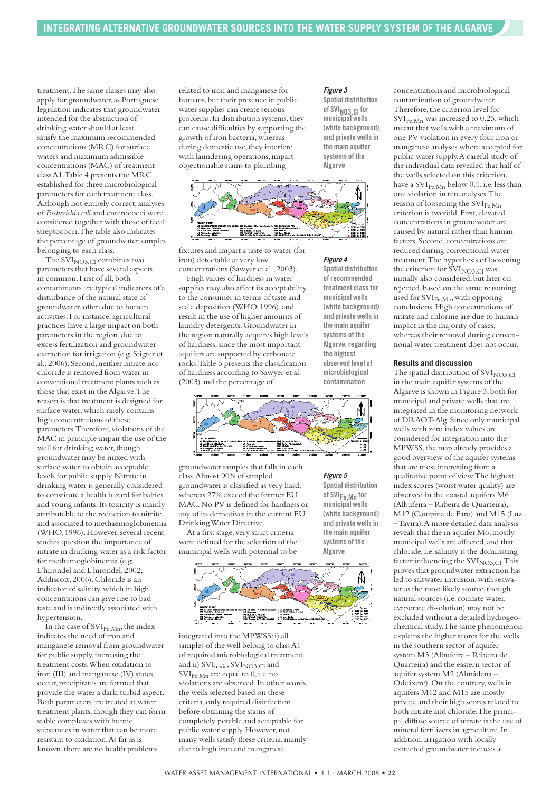treatment.The same classes may also apply for groundwater, as Portuguese legislation indicates that groundwater intended for the abstraction of drinking water should at least satisfy the maximum recommended concentrations (MRC) for surface waters and maximum admissible concentrations (MAC) of treatment classA1.Table 4 presents the MRC established for three microbiological parameters for each treatment class. Although not entirely correct,analyses of *Escherichia coli* and enterococci were considered together with those of fecal streptococci.The table also indicates the percentage of groundwater samples belonging to each class.

The  $S\tilde{V}I_{NO3,Cl}$  combines two parameters that have several aspects in common. First of all, both contaminants are typical indicators of a disturbance of the natural state of groundwater,often due to human activities.For instance,agricultural practices have a large impact on both parameters in the region, due to excess fertilization and groundwater extraction for irrigation (e.g.Stigter et al.,2006).Second,neither nitrate nor chloride is removed from water in conventional treatment plants such as those that exist in the Algarve. The reason is that treatment is designed for surface water,which rarely contains high concentrations of these parameters.Therefore, violations of the MAC in principle impair the use of the well for drinking water, though groundwater may be mixed with surface water to obtain acceptable levels for public supply.Nitrate in drinking water is generally considered to constitute a health hazard for babies and young infants.Its toxicity is mainly attributable to the reduction to nitrite and associated to methaemoglobinemia (WHO,1996).However,several recent studies question the importance of nitrate in drinking water as a risk factor for methemoglobinemia (e.g. L'hirondel and L'hirondel, 2002; Addiscott,2006).Chloride is an indicator of salinity,which in high concentrations can give rise to bad taste and is indirectly associated with hypertension.

In the case of  $\text{SVI}_{\text{Fe},\text{Mn}}$ , the index indicates the need of iron and manganese removal from groundwater for public supply,increasing the treatment costs.When oxidation to iron (III) and manganese (IV) states occur,precipitates are formed that provide the water a dark, turbid aspect. Both parameters are treated at water treatment plants, though they can form stable complexes with humic substances in water that can be more resistant to oxidation.As far as is known, there are no health problems

related to iron and manganese for humans, but their presence in public water supplies can create serious problems. In distribution systems, they can cause difficulties by supporting the growth of iron bacteria,whereas during domestic use, they interfere with laundering operations,impart objectionable stains to plumbing

#### *Figure 3*

*Figure 4* **Spatial distribution of recommended treatment classfor municipal wells (white background) and private wellsin the main aquifer systems of the Algarve, regarding the highest observed level of microbiological contamination**

**Spatial distribution of SVI NO3,Cl for municipal wells (white background) and private wellsin the main aquifer systems of the Algarve**



fixtures and impart a taste to water (for iron) detectable at very low concentrations (Sawyer et al.,2003).

High values of hardness in water supplies may also affect its acceptability to the consumer in terms of taste and scale deposition (WHO, 1996), and result in the use of higher amounts of laundry detergents.Groundwater in the region naturally acquires high levels of hardness,since the most important aquifers are supported by carbonate rocks.Table 5 presents the classification of hardness according to Sawyer et al. (2003) and the percentage of



groundwater samples that falls in each class.Almost 90% of sampled groundwater is classified as very hard, whereas 27% exceed the former EU MAC.No PV is defined for hardness or any of its derivatives in the current EU DrinkingWater Directive.

*Figure 5* **Spatial distribution**

At a first stage, very strict criteria were defined for the selection of the municipal wells with potential to be





integrated into the MPWSS:i) all samples of the well belong to classA1 of required microbiological treatment and ii)  $SVI_{\text{toxic}}$ ,  $SVI_{\text{NO3},Cl}$  and  $\text{SVI}_{\text{Fe},\text{Mn}}$  are equal to 0, i.e. no violations are observed.In other words, the wells selected based on these criteria,only required disinfection before obtaining the status of completely potable and acceptable for public water supply. However, not many wells satisfy these criteria,mainly due to high iron and manganese

concentrations and microbiological contamination of groundwater. Therefore, the criterion level for SVI<sub>Fe,Mn</sub> was increased to 0.25, which meant that wells with a maximum of one PV violation in every four iron or manganese analyses where accepted for public water supply.A careful study of the individual data revealed that half of the wells selected on this criterion, have a  $\text{SVI}_{\text{Fe-Mn}}$  below 0.1, i.e. less than one violation in ten analyses.The reason of loosening the SVI<sub>Fe,Mn</sub> criterion is twofold.First, elevated concentrations in groundwater are caused by natural rather than human factors.Second, concentrations are reduced during conventional water treatment.The hypothesis of loosening the criterion for  $SVI<sub>NO3,Cl</sub>$  was initially also considered, but later on rejected,based on the same reasoning used for  $\text{SVI}_{\text{Fe},\text{Mn}}$ , with opposing conclusions.High concentrations of nitrate and chlorine are due to human impact in the majority of cases, whereas their removal during conven-

tional water treatment does not occur.

#### **Results and discussion**

The spatial distribution of  $SVI<sub>NO3,Cl</sub>$ in the main aquifer systems of the Algarve is shown in Figure 3,both for municipal and private wells that are integrated in the monitoring network of DRAOT-Alg.Since only municipal wells with zero index values are considered for integration into the MPWSS, the map already provides a good overview of the aquifer systems that are most interesting from a qualitative point of view.The highest index scores (worst water quality) are observed in the coastal aquifers M6 (Albufeira – Ribeira de Quarteira), M12 (Campina de Faro) and M15 (Luz –Tavira).A more detailed data analysis reveals that the in aquifer M6,mostly municipal wells are affected,and that chloride,i.e.salinity is the dominating factor influencing the  $\text{SVI}_{\text{NO3},\text{Cl}}$ . This proves that groundwater extraction has led to saltwater intrusion, with seawater as the most likely source, though natural sources (i.e. connate water, evaporate dissolution) may not be excluded without a detailed hydrogeochemical study.The same phenomenon explains the higher scores for the wells in the southern sector of aquifer system M3 (Albufeira – Ribeira de Quarteira) and the eastern sector of aquifer system M2 (Almádena – Odeáxere).On the contrary,wells in aquifers M12 and M15 are mostly private and their high scores related to both nitrate and chloride.The principal diffuse source of nitrate is the use of mineral fertilizers in agriculture.In addition, irrigation with locally extracted groundwater induces a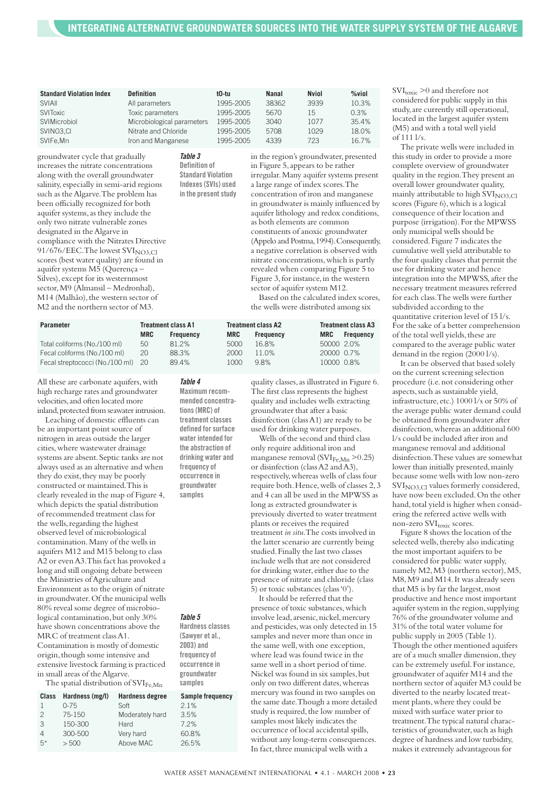| <b>Standard Violation Index</b> | <b>Definition</b>          | t0-tu     | <b>Nanal</b> | <b>Nviol</b> | $%$ viol |
|---------------------------------|----------------------------|-----------|--------------|--------------|----------|
| <b>SVIAII</b>                   | All parameters             | 1995-2005 | 38362        | 3939         | 10.3%    |
| <b>SVIToxic</b>                 | Toxic parameters           | 1995-2005 | 5670         | 15           | 0.3%     |
| SVIMicrobiol                    | Microbiological parameters | 1995-2005 | 3040         | 1077         | 35.4%    |
| SVINO3.CL                       | Nitrate and Chloride       | 1995-2005 | 5708         | 1029         | 18.0%    |
| SVIFe, Mn                       | Iron and Manganese         | 1995-2005 | 4339         | 723          | 16.7%    |

groundwater cycle that gradually increases the nitrate concentrations along with the overall groundwater salinity, especially in semi-arid regions such as the Algarve. The problem has been officially recognized for both aquifer systems,as they include the only two nitrate vulnerable zones designated in theAlgarve in compliance with the Nitrates Directive 91/676/EEC.The lowest SVI<sub>NO3,Cl</sub> scores (best water quality) are found in aquifer systems M5 (Querença – Silves), except for its westernmost sector,M9 (Almansil – Medronhal), M14 (Malhão), the western sector of M2 and the northern sector of M3.

*Table 3* **Definition of**

**Standard Violation Indexes(SVIs) used in the present study**  in the region's groundwater, presented in Figure 5,appears to be rather irregular.Many aquifer systems present a large range of index scores.The concentration of iron and manganese in groundwater is mainly influenced by aquifer lithology and redox conditions, as both elements are common constituents of anoxic groundwater (Appelo and Postma,1994).Consequently, a negative correlation is observed with nitrate concentrations,which is partly revealed when comparing Figure 5 to Figure 3, for instance, in the western sector of aquifer system M12. Based on the calculated index scores,

the wells were distributed among six

| Parameter                          | <b>Treatment class A1</b> |                  | <b>Treatment class A2</b> |                  | <b>Treatment class A3</b> |                  |
|------------------------------------|---------------------------|------------------|---------------------------|------------------|---------------------------|------------------|
|                                    | <b>MRC</b>                | <b>Frequency</b> | <b>MRC</b>                | <b>Frequency</b> | MRC                       | <b>Frequency</b> |
| Total coliforms (No./100 ml)       | 50                        | 81 2%            | 5000                      | 16.8%            | 50000 2.0%                |                  |
| Fecal coliforms (No./100 ml)       | 20                        | 88.3%            | 2000                      | 11.0%            | 20000 0.7%                |                  |
| Fecal streptococci (No./100 ml) 20 |                           | 89.4%            | 1000                      | 98%              | 10000 0.8%                |                  |

*Table 4* **Maximum recommended concentrations(MRC) of treatment classes defined forsurface water intended for the abstraction of drinking water and frequency of occurrence in groundwater samples**

*Table 5* **Hardness classes (Sawyer et al., 2003) and frequency of occurrence in groundwater samples**

All these are carbonate aquifers, with high recharge rates and groundwater velocities,and often located more inland,protected from seawater intrusion.

Leaching of domestic effluents can be an important point source of nitrogen in areas outside the larger cities,where wastewater drainage systems are absent.Septic tanks are not always used as an alternative and when they do exist, they may be poorly constructed or maintained.This is clearly revealed in the map of Figure 4, which depicts the spatial distribution of recommended treatment class for the wells, regarding the highest observed level of microbiological contamination.Many of the wells in aquifers M12 and M15 belong to class A2 or evenA3.This fact has provoked a long and still ongoing debate between the Ministries ofAgriculture and Environment as to the origin of nitrate in groundwater.Of the municipal wells 80% reveal some degree of microbiological contamination, but only 30% have shown concentrations above the MRC of treatment classA1. Contamination is mostly of domestic origin,though some intensive and extensive livestock farming is practiced in small areas of the Algarve.

The spatial distribution of SVIFe,Mn

| Class         | Hardness (mg/l) | <b>Hardness degree</b> | Sample frequency |
|---------------|-----------------|------------------------|------------------|
|               | $0 - 75$        | Soft                   | 2.1%             |
| $\mathcal{P}$ | 75-150          | Moderately hard        | 3.5%             |
| $\mathcal{B}$ | 150-300         | Hard                   | 7.2%             |
|               | 300-500         | Very hard              | 60.8%            |
| $5*$          | > 500           | Above MAC              | 26.5%            |
|               |                 |                        |                  |

quality classes,as illustrated in Figure 6. The first class represents the highest quality and includes wells extracting groundwater that after a basic disinfection (classA1) are ready to be used for drinking water purposes.

Wells of the second and third class only require additional iron and manganese removal (SVI $_{Fe, Mn}$  >0.25) or disinfection (classA2 andA3), respectively,whereas wells of class four require both.Hence,wells of classes 2,3 and 4 can all be used in the MPWSS as long as extracted groundwater is previously diverted to water treatment plants or receives the required treatment *in situ*.The costs involved in the latter scenario are currently being studied.Finally the last two classes include wells that are not considered for drinking water, either due to the presence of nitrate and chloride (class 5) or toxic substances (class'0').

It should be referred that the presence of toxic substances, which involve lead, arsenic, nickel, mercury and pesticides, was only detected in 15 samples and never more than once in the same well,with one exception, where lead was found twice in the same well in a short period of time. Nickel was found in six samples, but only on two different dates, whereas mercury was found in two samples on the same date.Though a more detailed study is required, the low number of samples most likely indicates the occurrence of local accidental spills, without any long-term consequences. In fact, three municipal wells with a

 $\text{SVI}_\text{toxic} \geq 0$  and therefore not considered for public supply in this study,are currently still operational, located in the largest aquifer system (M5) and with a total well yield of 111 l/s.

The private wells were included in this study in order to provide a more complete overview of groundwater quality in the region.They present an overall lower groundwater quality, mainly attributable to high  $SVI<sub>NO3,Cl</sub>$ scores (Figure 6), which is a logical consequence of their location and purpose (irrigation).For the MPWSS only municipal wells should be considered. Figure 7 indicates the cumulative well yield attributable to the four quality classes that permit the use for drinking water and hence integration into the MPWSS,after the necessary treatment measures referred for each class.The wells were further subdivided according to the quantitative criterion level of 15 l/s. For the sake of a better comprehension of the total well yields, these are compared to the average public water demand in the region (2000 l/s).

It can be observed that based solely on the current screening selection procedure (i.e.not considering other aspects, such as sustainable yield, infrastructure, etc.) 1000 l/s or 50% of the average public water demand could be obtained from groundwater after disinfection,whereas an additional 600 l/s could be included after iron and manganese removal and additional disinfection.These values are somewhat lower than initially presented, mainly because some wells with low non-zero  $SVI<sub>NO3</sub>$  cl values formerly considered, have now been excluded.On the other hand, total yield is higher when considering the referred active wells with  $\lim_{\text{non-zero}}$  SVI<sub>toxic</sub> scores.

Figure 8 shows the location of the selected wells, thereby also indicating the most important aquifers to be considered for public water supply, namely M2, M3 (northern sector), M5, M8,M9 and M14.It was already seen that M5 is by far the largest, most productive and hence most important aquifer system in the region,supplying 76% of the groundwater volume and 31% of the total water volume for public supply in 2005 (Table 1). Though the other mentioned aquifers are of a much smaller dimension, they can be extremely useful.For instance, groundwater of aquifer M14 and the northern sector of aquifer M3 could be diverted to the nearby located treatment plants, where they could be mixed with surface water prior to treatment.The typical natural characteristics of groundwater, such as high degree of hardness and low turbidity, makes it extremely advantageous for